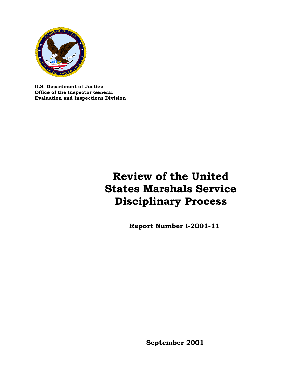

**U.S. Department of Justice Office of the Inspector General Evaluation and Inspections Division**

# **Review of the United States Marshals Service Disciplinary Process**

 **Report Number I-2001-11**

 **September 2001**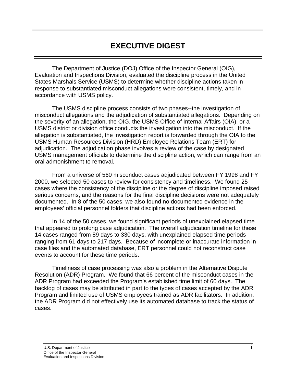## **EXECUTIVE DIGEST**

The Department of Justice (DOJ) Office of the Inspector General (OIG), Evaluation and Inspections Division, evaluated the discipline process in the United States Marshals Service (USMS) to determine whether discipline actions taken in response to substantiated misconduct allegations were consistent, timely, and in accordance with USMS policy.

The USMS discipline process consists of two phases--the investigation of misconduct allegations and the adjudication of substantiated allegations. Depending on the severity of an allegation, the OIG, the USMS Office of Internal Affairs (OIA), or a USMS district or division office conducts the investigation into the misconduct. If the allegation is substantiated, the investigation report is forwarded through the OIA to the USMS Human Resources Division (HRD) Employee Relations Team (ERT) for adjudication. The adjudication phase involves a review of the case by designated USMS management officials to determine the discipline action, which can range from an oral admonishment to removal.

From a universe of 560 misconduct cases adjudicated between FY 1998 and FY 2000, we selected 50 cases to review for consistency and timeliness. We found 25 cases where the consistency of the discipline or the degree of discipline imposed raised serious concerns, and the reasons for the final discipline decisions were not adequately documented. In 8 of the 50 cases, we also found no documented evidence in the employees' official personnel folders that discipline actions had been enforced.

In 14 of the 50 cases, we found significant periods of unexplained elapsed time that appeared to prolong case adjudication. The overall adjudication timeline for these 14 cases ranged from 89 days to 330 days, with unexplained elapsed time periods ranging from 61 days to 217 days. Because of incomplete or inaccurate information in case files and the automated database, ERT personnel could not reconstruct case events to account for these time periods.

Timeliness of case processing was also a problem in the Alternative Dispute Resolution (ADR) Program. We found that 66 percent of the misconduct cases in the ADR Program had exceeded the Program's established time limit of 60 days. The backlog of cases may be attributed in part to the types of cases accepted by the ADR Program and limited use of USMS employees trained as ADR facilitators. In addition, the ADR Program did not effectively use its automated database to track the status of cases.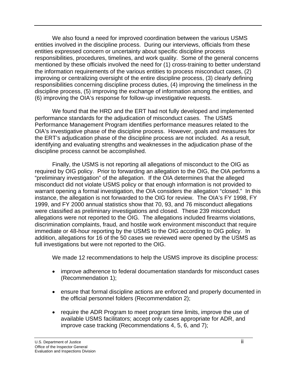We also found a need for improved coordination between the various USMS entities involved in the discipline process. During our interviews, officials from these entities expressed concern or uncertainty about specific discipline process responsibilities, procedures, timelines, and work quality. Some of the general concerns mentioned by these officials involved the need for (1) cross-training to better understand the information requirements of the various entities to process misconduct cases, (2) improving or centralizing oversight of the entire discipline process, (3) clearly defining responsibilities concerning discipline process duties, (4) improving the timeliness in the discipline process, (5) improving the exchange of information among the entities, and (6) improving the OIA's response for follow-up investigative requests.

We found that the HRD and the ERT had not fully developed and implemented performance standards for the adjudication of misconduct cases. The USMS Performance Management Program identifies performance measures related to the OIA's investigative phase of the discipline process. However, goals and measures for the ERT's adjudication phase of the discipline process are not included. As a result, identifying and evaluating strengths and weaknesses in the adjudication phase of the discipline process cannot be accomplished.

Finally, the USMS is not reporting all allegations of misconduct to the OIG as required by OIG policy. Prior to forwarding an allegation to the OIG, the OIA performs a "preliminary investigation" of the allegation. If the OIA determines that the alleged misconduct did not violate USMS policy or that enough information is not provided to warrant opening a formal investigation, the OIA considers the allegation "closed." In this instance, the allegation is not forwarded to the OIG for review. The OIA's FY 1998, FY 1999, and FY 2000 annual statistics show that 70, 93, and 76 misconduct allegations were classified as preliminary investigations and closed. These 239 misconduct allegations were not reported to the OIG. The allegations included firearms violations, discrimination complaints, fraud, and hostile work environment misconduct that require immediate or 48-hour reporting by the USMS to the OIG according to OIG policy. In addition, allegations for 16 of the 50 cases we reviewed were opened by the USMS as full investigations but were not reported to the OIG.

We made 12 recommendations to help the USMS improve its discipline process:

- improve adherence to federal documentation standards for misconduct cases (Recommendation 1);
- ensure that formal discipline actions are enforced and properly documented in the official personnel folders (Recommendation 2);
- require the ADR Program to meet program time limits, improve the use of available USMS facilitators; accept only cases appropriate for ADR, and improve case tracking (Recommendations 4, 5, 6, and 7);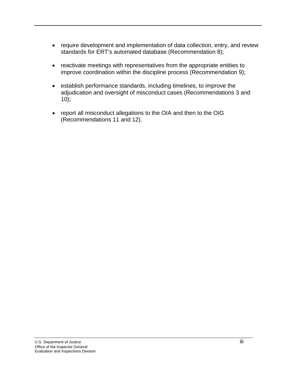- require development and implementation of data collection, entry, and review standards for ERT's automated database (Recommendation 8);
- reactivate meetings with representatives from the appropriate entities to improve coordination within the discipline process (Recommendation 9);
- establish performance standards, including timelines, to improve the adjudication and oversight of misconduct cases (Recommendations 3 and 10);
- report all misconduct allegations to the OIA and then to the OIG (Recommendations 11 and 12).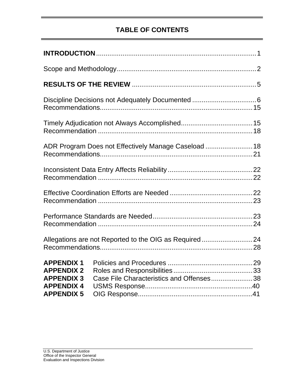## **TABLE OF CONTENTS**

|                                                                                                      | ADR Program Does not Effectively Manage Caseload  18  |  |  |  |  |
|------------------------------------------------------------------------------------------------------|-------------------------------------------------------|--|--|--|--|
|                                                                                                      |                                                       |  |  |  |  |
|                                                                                                      |                                                       |  |  |  |  |
|                                                                                                      |                                                       |  |  |  |  |
|                                                                                                      | Allegations are not Reported to the OIG as Required24 |  |  |  |  |
| <b>APPENDIX1</b><br><b>APPENDIX 2</b><br><b>APPENDIX 3</b><br><b>APPENDIX 4</b><br><b>APPENDIX 5</b> | Case File Characteristics and Offenses38              |  |  |  |  |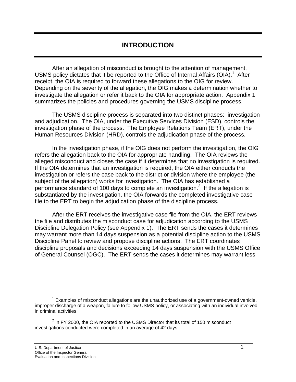## **INTRODUCTION**

<span id="page-5-0"></span>After an allegation of misconduct is brought to the attention of management, USMS policy dictates that it be reported to the Office of Internal Affairs (OIA).<sup>1</sup> After receipt, the OIA is required to forward these allegations to the OIG for review. Depending on the severity of the allegation, the OIG makes a determination whether to investigate the allegation or refer it back to the OIA for appropriate action. Appendix 1 summarizes the policies and procedures governing the USMS discipline process.

The USMS discipline process is separated into two distinct phases: investigation and adjudication. The OIA, under the Executive Services Division (ESD), controls the investigation phase of the process. The Employee Relations Team (ERT), under the Human Resources Division (HRD), controls the adjudication phase of the process.

In the investigation phase, if the OIG does not perform the investigation, the OIG refers the allegation back to the OIA for appropriate handling. The OIA reviews the alleged misconduct and closes the case if it determines that no investigation is required. If the OIA determines that an investigation is required, the OIA either conducts the investigation or refers the case back to the district or division where the employee (the subject of the allegation) works for investigation. The OIA has established a performance standard of 100 days to complete an investigation.<sup>2</sup> If the allegation is substantiated by the investigation, the OIA forwards the completed investigative case file to the ERT to begin the adjudication phase of the discipline process.

After the ERT receives the investigative case file from the OIA, the ERT reviews the file and distributes the misconduct case for adjudication according to the USMS Discipline Delegation Policy (see Appendix 1). The ERT sends the cases it determines may warrant more than 14 days suspension as a potential discipline action to the USMS Discipline Panel to review and propose discipline actions. The ERT coordinates discipline proposals and decisions exceeding 14 days suspension with the USMS Office of General Counsel (OGC). The ERT sends the cases it determines may warrant less

<sup>1</sup>  $1$  Examples of misconduct allegations are the unauthorized use of a government-owned vehicle, improper discharge of a weapon, failure to follow USMS policy, or associating with an individual involved in criminal activities.

 $2$  In FY 2000, the OIA reported to the USMS Director that its total of 150 misconduct investigations conducted were completed in an average of 42 days.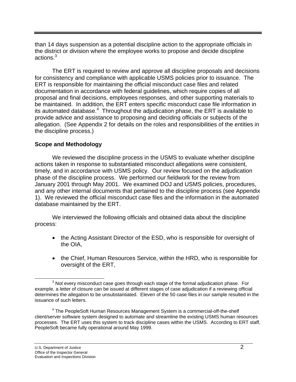<span id="page-6-0"></span>than 14 days suspension as a potential discipline action to the appropriate officials in the district or division where the employee works to propose and decide discipline actions.<sup>3</sup>

The ERT is required to review and approve all discipline proposals and decisions for consistency and compliance with applicable USMS policies prior to issuance. The ERT is responsible for maintaining the official misconduct case files and related documentation in accordance with federal guidelines, which require copies of all proposal and final decisions, employees responses, and other supporting materials to be maintained. In addition, the ERT enters specific misconduct case file information in its automated database.<sup>4</sup> Throughout the adjudication phase, the ERT is available to provide advice and assistance to proposing and deciding officials or subjects of the allegation. (See Appendix 2 for details on the roles and responsibilities of the entities in the discipline process.)

### **Scope and Methodology**

We reviewed the discipline process in the USMS to evaluate whether discipline actions taken in response to substantiated misconduct allegations were consistent, timely, and in accordance with USMS policy. Our review focused on the adjudication phase of the discipline process. We performed our fieldwork for the review from January 2001 through May 2001. We examined DOJ and USMS policies, procedures, and any other internal documents that pertained to the discipline process (see Appendix 1). We reviewed the official misconduct case files and the information in the automated database maintained by the ERT.

We interviewed the following officials and obtained data about the discipline process:

- the Acting Assistant Director of the ESD, who is responsible for oversight of the OIA,
- the Chief, Human Resources Service, within the HRD, who is responsible for oversight of the ERT,

 $\overline{a}$  $3$  Not every misconduct case goes through each stage of the formal adjudication phase. For example, a letter of closure can be issued at different stages of case adjudication if a reviewing official determines the allegation to be unsubstantiated. Eleven of the 50 case files in our sample resulted in the issuance of such letters.

<sup>&</sup>lt;sup>4</sup> The PeopleSoft Human Resources Management System is a commercial-off-the-shelf client/server software system designed to automate and streamline the existing USMS human resources processes. The ERT uses this system to track discipline cases within the USMS. According to ERT staff, PeopleSoft became fully operational around May 1999.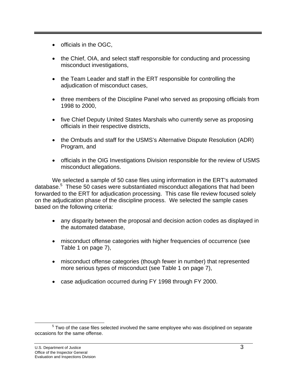- officials in the OGC,
- the Chief, OIA, and select staff responsible for conducting and processing misconduct investigations,
- the Team Leader and staff in the ERT responsible for controlling the adiudication of misconduct cases,
- three members of the Discipline Panel who served as proposing officials from 1998 to 2000,
- five Chief Deputy United States Marshals who currently serve as proposing officials in their respective districts,
- the Ombuds and staff for the USMS's Alternative Dispute Resolution (ADR) Program, and
- officials in the OIG Investigations Division responsible for the review of USMS misconduct allegations.

We selected a sample of 50 case files using information in the ERT's automated database.<sup>5</sup> These 50 cases were substantiated misconduct allegations that had been forwarded to the ERT for adjudication processing. This case file review focused solely on the adjudication phase of the discipline process. We selected the sample cases based on the following criteria:

- any disparity between the proposal and decision action codes as displayed in the automated database,
- misconduct offense categories with higher frequencies of occurrence (see Table 1 on page 7),
- misconduct offense categories (though fewer in number) that represented more serious types of misconduct (see Table 1 on page 7),
- case adjudication occurred during FY 1998 through FY 2000.

 $\overline{a}$  $5$  Two of the case files selected involved the same employee who was disciplined on separate occasions for the same offense.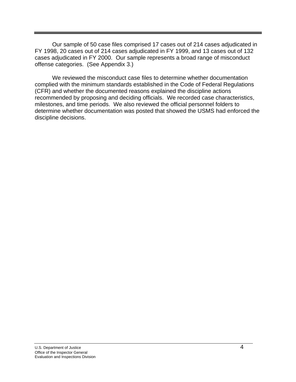Our sample of 50 case files comprised 17 cases out of 214 cases adjudicated in FY 1998, 20 cases out of 214 cases adjudicated in FY 1999, and 13 cases out of 132 cases adjudicated in FY 2000. Our sample represents a broad range of misconduct offense categories. (See Appendix 3.)

We reviewed the misconduct case files to determine whether documentation complied with the minimum standards established in the Code of Federal Regulations (CFR) and whether the documented reasons explained the discipline actions recommended by proposing and deciding officials. We recorded case characteristics, milestones, and time periods. We also reviewed the official personnel folders to determine whether documentation was posted that showed the USMS had enforced the discipline decisions.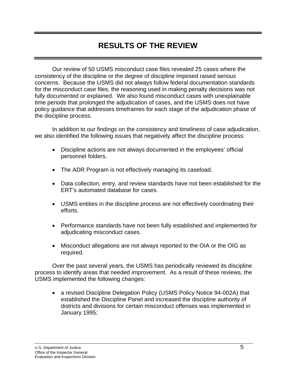## **RESULTS OF THE REVIEW**

<span id="page-9-0"></span>Our review of 50 USMS misconduct case files revealed 25 cases where the consistency of the discipline or the degree of discipline imposed raised serious concerns. Because the USMS did not always follow federal documentation standards for the misconduct case files, the reasoning used in making penalty decisions was not fully documented or explained. We also found misconduct cases with unexplainable time periods that prolonged the adjudication of cases, and the USMS does not have policy guidance that addresses timeframes for each stage of the adjudication phase of the discipline process.

In addition to our findings on the consistency and timeliness of case adjudication, we also identified the following issues that negatively affect the discipline process:

- Discipline actions are not always documented in the employees' official personnel folders.
- The ADR Program is not effectively managing its caseload.
- Data collection, entry, and review standards have not been established for the ERT's automated database for cases.
- USMS entities in the discipline process are not effectively coordinating their efforts.
- Performance standards have not been fully established and implemented for adjudicating misconduct cases.
- Misconduct allegations are not always reported to the OIA or the OIG as required.

Over the past several years, the USMS has periodically reviewed its discipline process to identify areas that needed improvement. As a result of these reviews, the USMS implemented the following changes:

• a revised Discipline Delegation Policy (USMS Policy Notice 94-002A) that established the Discipline Panel and increased the discipline authority of districts and divisions for certain misconduct offenses was implemented in January 1995;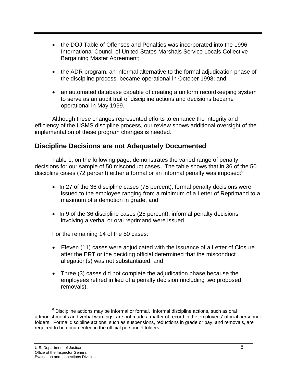- <span id="page-10-0"></span>• the DOJ Table of Offenses and Penalties was incorporated into the 1996 International Council of United States Marshals Service Locals Collective Bargaining Master Agreement;
- the ADR program, an informal alternative to the formal adjudication phase of the discipline process, became operational in October 1998; and
- an automated database capable of creating a uniform recordkeeping system to serve as an audit trail of discipline actions and decisions became operational in May 1999.

Although these changes represented efforts to enhance the integrity and efficiency of the USMS discipline process, our review shows additional oversight of the implementation of these program changes is needed.

## **Discipline Decisions are not Adequately Documented**

Table 1, on the following page, demonstrates the varied range of penalty decisions for our sample of 50 misconduct cases. The table shows that in 36 of the 50 discipline cases (72 percent) either a formal or an informal penalty was imposed: $6$ 

- In 27 of the 36 discipline cases (75 percent), formal penalty decisions were issued to the employee ranging from a minimum of a Letter of Reprimand to a maximum of a demotion in grade, and
- In 9 of the 36 discipline cases (25 percent), informal penalty decisions involving a verbal or oral reprimand were issued.

For the remaining 14 of the 50 cases:

- Eleven (11) cases were adjudicated with the issuance of a Letter of Closure after the ERT or the deciding official determined that the misconduct allegation(s) was not substantiated, and
- Three (3) cases did not complete the adjudication phase because the employees retired in lieu of a penalty decision (including two proposed removals).

 $\overline{a}$  $6$  Discipline actions may be informal or formal. Informal discipline actions, such as oral admonishments and verbal warnings, are not made a matter of record in the employees' official personnel folders. Formal discipline actions, such as suspensions, reductions in grade or pay, and removals, are required to be documented in the official personnel folders.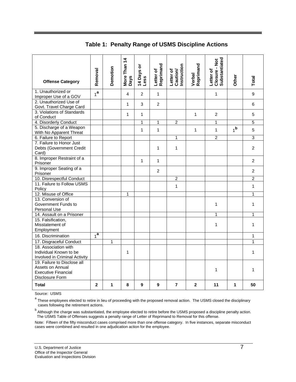| <b>Offense Category</b>                                                                          | Removal          | Demotion | More Than 14<br><b>Days</b> | ŏ<br>14 Days of | Reprimand<br>Letter of | Instruction<br>Letter of<br><b>Caution/</b> | Reprimand<br>Verbal | Closure - Not<br>Substantiated<br>Letter of | Other          | Total          |
|--------------------------------------------------------------------------------------------------|------------------|----------|-----------------------------|-----------------|------------------------|---------------------------------------------|---------------------|---------------------------------------------|----------------|----------------|
| 1. Unauthorized or<br>Improper Use of a GOV                                                      | 1 <sup>a</sup>   |          | 4                           | $\overline{2}$  | $\mathbf{1}$           |                                             |                     | $\mathbf{1}$                                |                | 9              |
| 2. Unauthorized Use of<br>Govt. Travel Charge Card                                               |                  |          | 1                           | 3               | $\overline{2}$         |                                             |                     |                                             |                | 6              |
| 3. Violations of Standards<br>of Conduct                                                         |                  |          | 1                           | $\mathbf{1}$    |                        |                                             | $\mathbf{1}$        | $\overline{2}$                              |                | 5              |
| 4. Disorderly Conduct                                                                            |                  |          |                             | 1               | 1                      | $\overline{2}$                              |                     | $\mathbf{1}$                                |                | 5              |
| 5. Discharge of a Weapon<br>With No Apparent Threat                                              |                  |          |                             | $\mathbf{1}$    | $\mathbf{1}$           |                                             | $\mathbf{1}$        | $\mathbf{1}$                                | 1 <sup>b</sup> | 5              |
| 6. Failure to Report                                                                             |                  |          |                             |                 |                        | $\mathbf{1}$                                |                     | $\overline{c}$                              |                | 3              |
| 7. Failure to Honor Just<br>Debts (Government Credit<br>Card)                                    |                  |          |                             |                 | 1                      | 1                                           |                     |                                             |                | $\overline{2}$ |
| 8. Improper Restraint of a<br>Prisoner                                                           |                  |          |                             | $\mathbf{1}$    | $\mathbf{1}$           |                                             |                     |                                             |                | $\overline{2}$ |
| 9. Improper Seating of a<br>Prisoner                                                             |                  |          |                             |                 | $\overline{2}$         |                                             |                     |                                             |                | $\overline{2}$ |
| 10. Disrespectful Conduct                                                                        |                  |          |                             |                 |                        | $\overline{2}$                              |                     |                                             |                | $\overline{2}$ |
| 11. Failure to Follow USMS<br>Policy                                                             |                  |          |                             |                 |                        | $\mathbf{1}$                                |                     |                                             |                | $\mathbf{1}$   |
| 12. Misuse of Office                                                                             |                  |          | $\mathbf{1}$                |                 |                        |                                             |                     |                                             |                | $\mathbf{1}$   |
| 13. Conversion of<br>Government Funds to<br>Personal Use                                         |                  |          |                             |                 |                        |                                             |                     | 1                                           |                | $\mathbf{1}$   |
| 14. Assault on a Prisoner                                                                        |                  |          |                             |                 |                        |                                             |                     | $\mathbf{1}$                                |                | $\mathbf{1}$   |
| 15. Falsification,<br>Misstatement of<br>Employment                                              |                  |          |                             |                 |                        |                                             |                     | $\mathbf{1}$                                |                | $\mathbf{1}$   |
| 16. Discrimination                                                                               | $\overline{1}^a$ |          |                             |                 |                        |                                             |                     |                                             |                | 1              |
| 17. Disgraceful Conduct                                                                          |                  | 1        |                             |                 |                        |                                             |                     |                                             |                | 1              |
| 18. Association with<br>Individual Known to be<br>Involved in Criminal Activity                  |                  |          | 1                           |                 |                        |                                             |                     |                                             |                | $\mathbf{1}$   |
| 19. Failure to Disclose all<br>Assets on Annual<br><b>Executive Financial</b><br>Disclosure Form |                  |          |                             |                 |                        |                                             |                     | 1                                           |                | 1              |
| <b>Total</b>                                                                                     | $\mathbf{2}$     | 1        | 8                           | 9               | 9                      | $\overline{7}$                              | $\overline{2}$      | 11                                          | 1              | 50             |

## **Table 1: Penalty Range of USMS Discipline Actions**

Source: USMS

<sup>a</sup> These employees elected to retire in lieu of proceeding with the proposed removal action. The USMS closed the disciplinary cases following the retirement actions.

b<br>Although the charge was substantiated, the employee elected to retire before the USMS proposed a discipline penalty action. The USMS Table of Offenses suggests a penalty range of Letter of Reprimand to Removal for this offense.

Note: Fifteen of the fifty misconduct cases comprised more than one offense category. In five instances, separate misconduct cases were combined and resulted in one adjudication action for the employee.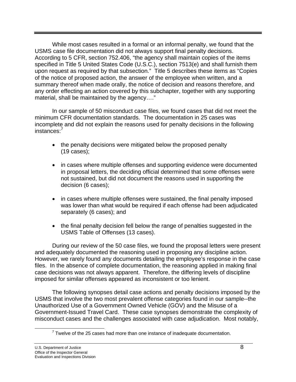While most cases resulted in a formal or an informal penalty, we found that the USMS case file documentation did not always support final penalty decisions. According to 5 CFR, section 752.406, "the agency shall maintain copies of the items specified in Title 5 United States Code (U.S.C.), section 7513(e) and shall furnish them upon request as required by that subsection." Title 5 describes these items as "Copies of the notice of proposed action, the answer of the employee when written, and a summary thereof when made orally, the notice of decision and reasons therefore, and any order effecting an action covered by this subchapter, together with any supporting material, shall be maintained by the agency…."

In our sample of 50 misconduct case files, we found cases that did not meet the minimum CFR documentation standards. The documentation in 25 cases was incomplete and did not explain the reasons used for penalty decisions in the following instances:<sup>7</sup>

- the penalty decisions were mitigated below the proposed penalty (19 cases);
- in cases where multiple offenses and supporting evidence were documented in proposal letters, the deciding official determined that some offenses were not sustained, but did not document the reasons used in supporting the decision (6 cases);
- in cases where multiple offenses were sustained, the final penalty imposed was lower than what would be required if each offense had been adjudicated separately (6 cases); and
- the final penalty decision fell below the range of penalties suggested in the USMS Table of Offenses (13 cases).

During our review of the 50 case files, we found the proposal letters were present and adequately documented the reasoning used in proposing any discipline action. However, we rarely found any documents detailing the employee's response in the case files. In the absence of complete documentation, the reasoning applied in making final case decisions was not always apparent. Therefore, the differing levels of discipline imposed for similar offenses appeared as inconsistent or too lenient.

The following synopses detail case actions and penalty decisions imposed by the USMS that involve the two most prevalent offense categories found in our sample--the Unauthorized Use of a Government Owned Vehicle (GOV) and the Misuse of a Government-Issued Travel Card. These case synopses demonstrate the complexity of misconduct cases and the challenges associated with case adjudication. Most notably,

l

 $7$  Twelve of the 25 cases had more than one instance of inadequate documentation.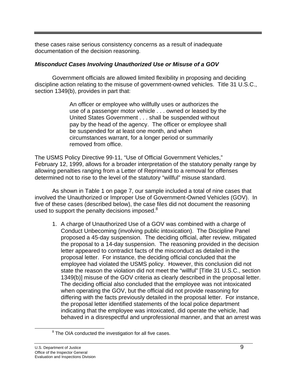these cases raise serious consistency concerns as a result of inadequate documentation of the decision reasoning.

## *Misconduct Cases Involving Unauthorized Use or Misuse of a GOV*

Government officials are allowed limited flexibility in proposing and deciding discipline action relating to the misuse of government-owned vehicles. Title 31 U.S.C., section 1349(b), provides in part that:

> An officer or employee who willfully uses or authorizes the use of a passenger motor vehicle . . . owned or leased by the United States Government . . . shall be suspended without pay by the head of the agency. The officer or employee shall be suspended for at least one month, and when circumstances warrant, for a longer period or summarily removed from office.

The USMS Policy Directive 99-11, "Use of Official Government Vehicles," February 12, 1999, allows for a broader interpretation of the statutory penalty range by allowing penalties ranging from a Letter of Reprimand to a removal for offenses determined not to rise to the level of the statutory "willful" misuse standard.

As shown in Table 1 on page 7, our sample included a total of nine cases that involved the Unauthorized or Improper Use of Government-Owned Vehicles (GOV). In five of these cases (described below), the case files did not document the reasoning used to support the penalty decisions imposed.<sup>8</sup>

1. A charge of Unauthorized Use of a GOV was combined with a charge of Conduct Unbecoming (involving public intoxication). The Discipline Panel proposed a 45-day suspension. The deciding official, after review, mitigated the proposal to a 14-day suspension. The reasoning provided in the decision letter appeared to contradict facts of the misconduct as detailed in the proposal letter. For instance, the deciding official concluded that the employee had violated the USMS policy. However, this conclusion did not state the reason the violation did not meet the "willful" [Title 31 U.S.C., section 1349(b)] misuse of the GOV criteria as clearly described in the proposal letter. The deciding official also concluded that the employee was not intoxicated when operating the GOV, but the official did not provide reasoning for differing with the facts previously detailed in the proposal letter. For instance, the proposal letter identified statements of the local police department indicating that the employee was intoxicated, did operate the vehicle, had behaved in a disrespectful and unprofessional manner, and that an arrest was

l

 $8$  The OIA conducted the investigation for all five cases.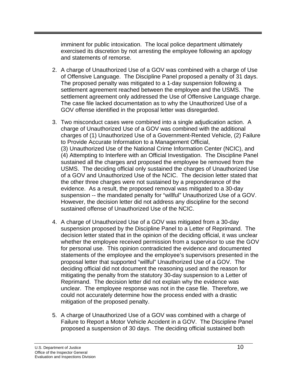imminent for public intoxication. The local police department ultimately exercised its discretion by not arresting the employee following an apology and statements of remorse.

- 2. A charge of Unauthorized Use of a GOV was combined with a charge of Use of Offensive Language. The Discipline Panel proposed a penalty of 31 days. The proposed penalty was mitigated to a 1-day suspension following a settlement agreement reached between the employee and the USMS. The settlement agreement only addressed the Use of Offensive Language charge. The case file lacked documentation as to why the Unauthorized Use of a GOV offense identified in the proposal letter was disregarded.
- 3. Two misconduct cases were combined into a single adjudication action. A charge of Unauthorized Use of a GOV was combined with the additional charges of (1) Unauthorized Use of a Government-Rented Vehicle, (2) Failure to Provide Accurate Information to a Management Official, (3) Unauthorized Use of the National Crime Information Center (NCIC), and (4) Attempting to Interfere with an Official Investigation. The Discipline Panel sustained all the charges and proposed the employee be removed from the USMS. The deciding official only sustained the charges of Unauthorized Use of a GOV and Unauthorized Use of the NCIC. The decision letter stated that the other three charges were not sustained by a preponderance of the evidence. As a result, the proposed removal was mitigated to a 30-day suspension -- the mandated penalty for "willful" Unauthorized Use of a GOV. However, the decision letter did not address any discipline for the second sustained offense of Unauthorized Use of the NCIC.
- 4. A charge of Unauthorized Use of a GOV was mitigated from a 30-day suspension proposed by the Discipline Panel to a Letter of Reprimand. The decision letter stated that in the opinion of the deciding official, it was unclear whether the employee received permission from a supervisor to use the GOV for personal use. This opinion contradicted the evidence and documented statements of the employee and the employee's supervisors presented in the proposal letter that supported "willful" Unauthorized Use of a GOV. The deciding official did not document the reasoning used and the reason for mitigating the penalty from the statutory 30-day suspension to a Letter of Reprimand. The decision letter did not explain why the evidence was unclear. The employee response was not in the case file. Therefore, we could not accurately determine how the process ended with a drastic mitigation of the proposed penalty.
- 5. A charge of Unauthorized Use of a GOV was combined with a charge of Failure to Report a Motor Vehicle Accident in a GOV. The Discipline Panel proposed a suspension of 30 days. The deciding official sustained both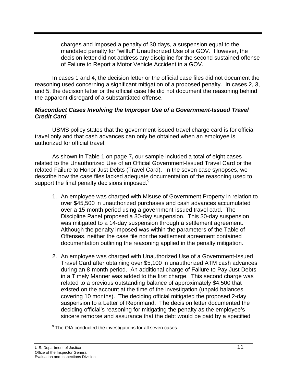charges and imposed a penalty of 30 days, a suspension equal to the mandated penalty for "willful" Unauthorized Use of a GOV. However, the decision letter did not address any discipline for the second sustained offense of Failure to Report a Motor Vehicle Accident in a GOV.

In cases 1 and 4, the decision letter or the official case files did not document the reasoning used concerning a significant mitigation of a proposed penalty. In cases 2, 3, and 5, the decision letter or the official case file did not document the reasoning behind the apparent disregard of a substantiated offense.

### *Misconduct Cases Involving the Improper Use of a Government-Issued Travel Credit Card*

USMS policy states that the government-issued travel charge card is for official travel only and that cash advances can only be obtained when an employee is authorized for official travel.

As shown in Table 1 on page 7**,** our sample included a total of eight cases related to the Unauthorized Use of an Official Government-Issued Travel Card or the related Failure to Honor Just Debts (Travel Card). In the seven case synopses, we describe how the case files lacked adequate documentation of the reasoning used to support the final penalty decisions imposed.<sup>9</sup>

- 1. An employee was charged with Misuse of Government Property in relation to over \$45,500 in unauthorized purchases and cash advances accumulated over a 15-month period using a government-issued travel card. The Discipline Panel proposed a 30-day suspension. This 30-day suspension was mitigated to a 14-day suspension through a settlement agreement. Although the penalty imposed was within the parameters of the Table of Offenses, neither the case file nor the settlement agreement contained documentation outlining the reasoning applied in the penalty mitigation.
- 2. An employee was charged with Unauthorized Use of a Government-Issued Travel Card after obtaining over \$5,100 in unauthorized ATM cash advances during an 8-month period. An additional charge of Failure to Pay Just Debts in a Timely Manner was added to the first charge. This second charge was related to a previous outstanding balance of approximately \$4,500 that existed on the account at the time of the investigation (unpaid balances covering 10 months). The deciding official mitigated the proposed 2-day suspension to a Letter of Reprimand. The decision letter documented the deciding official's reasoning for mitigating the penalty as the employee's sincere remorse and assurance that the debt would be paid by a specified

 $\overline{a}$ 

 $9$  The OIA conducted the investigations for all seven cases.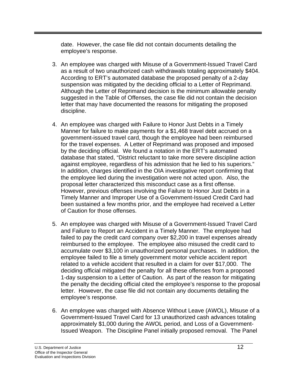date. However, the case file did not contain documents detailing the employee's response.

- 3. An employee was charged with Misuse of a Government-Issued Travel Card as a result of two unauthorized cash withdrawals totaling approximately \$404. According to ERT's automated database the proposed penalty of a 2-day suspension was mitigated by the deciding official to a Letter of Reprimand. Although the Letter of Reprimand decision is the minimum allowable penalty suggested in the Table of Offenses, the case file did not contain the decision letter that may have documented the reasons for mitigating the proposed discipline.
- 4. An employee was charged with Failure to Honor Just Debts in a Timely Manner for failure to make payments for a \$1,468 travel debt accrued on a government-issued travel card, though the employee had been reimbursed for the travel expenses. A Letter of Reprimand was proposed and imposed by the deciding official. We found a notation in the ERT's automated database that stated, "District reluctant to take more severe discipline action against employee, regardless of his admission that he lied to his superiors." In addition, charges identified in the OIA investigative report confirming that the employee lied during the investigation were not acted upon. Also, the proposal letter characterized this misconduct case as a first offense. However, previous offenses involving the Failure to Honor Just Debts in a Timely Manner and Improper Use of a Government-Issued Credit Card had been sustained a few months prior, and the employee had received a Letter of Caution for those offenses.
- 5. An employee was charged with Misuse of a Government-Issued Travel Card and Failure to Report an Accident in a Timely Manner. The employee had failed to pay the credit card company over \$2,200 in travel expenses already reimbursed to the employee. The employee also misused the credit card to accumulate over \$3,100 in unauthorized personal purchases. In addition, the employee failed to file a timely government motor vehicle accident report related to a vehicle accident that resulted in a claim for over \$17,000. The deciding official mitigated the penalty for all these offenses from a proposed 1-day suspension to a Letter of Caution. As part of the reason for mitigating the penalty the deciding official cited the employee's response to the proposal letter. However, the case file did not contain any documents detailing the employee's response.
- 6. An employee was charged with Absence Without Leave (AWOL), Misuse of a Government-Issued Travel Card for 13 unauthorized cash advances totaling approximately \$1,000 during the AWOL period, and Loss of a Government-Issued Weapon. The Discipline Panel initially proposed removal. The Panel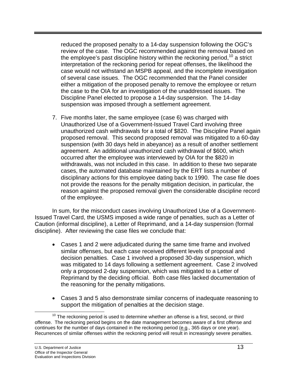reduced the proposed penalty to a 14-day suspension following the OGC's review of the case. The OGC recommended against the removal based on the employee's past discipline history within the reckoning period,  $10^{\circ}$  a strict interpretation of the reckoning period for repeat offenses, the likelihood the case would not withstand an MSPB appeal, and the incomplete investigation of several case issues. The OGC recommended that the Panel consider either a mitigation of the proposed penalty to remove the employee or return the case to the OIA for an investigation of the unaddressed issues. The Discipline Panel elected to propose a 14-day suspension. The 14-day suspension was imposed through a settlement agreement.

7. Five months later, the same employee (case 6) was charged with Unauthorized Use of a Government-Issued Travel Card involving three unauthorized cash withdrawals for a total of \$820. The Discipline Panel again proposed removal. This second proposed removal was mitigated to a 60-day suspension (with 30 days held in abeyance) as a result of another settlement agreement. An additional unauthorized cash withdrawal of \$600, which occurred after the employee was interviewed by OIA for the \$820 in withdrawals, was not included in this case. In addition to these two separate cases, the automated database maintained by the ERT lists a number of disciplinary actions for this employee dating back to 1990. The case file does not provide the reasons for the penalty mitigation decision, in particular, the reason against the proposed removal given the considerable discipline record of the employee.

In sum, for the misconduct cases involving Unauthorized Use of a Government-Issued Travel Card, the USMS imposed a wide range of penalties, such as a Letter of Caution (informal discipline), a Letter of Reprimand, and a 14-day suspension (formal discipline). After reviewing the case files we conclude that:

- Cases 1 and 2 were adjudicated during the same time frame and involved similar offenses, but each case received different levels of proposal and decision penalties. Case 1 involved a proposed 30-day suspension, which was mitigated to 14 days following a settlement agreement. Case 2 involved only a proposed 2-day suspension, which was mitigated to a Letter of Reprimand by the deciding official. Both case files lacked documentation of the reasoning for the penalty mitigations.
- Cases 3 and 5 also demonstrate similar concerns of inadequate reasoning to support the mitigation of penalties at the decision stage.

l  $10$  The reckoning period is used to determine whether an offense is a first, second, or third offense. The reckoning period begins on the date management becomes aware of a first offense and continues for the number of days contained in the reckoning period (e.g., 365 days or one year). Recurrences of similar offenses within the reckoning period will result in increasingly severe penalties.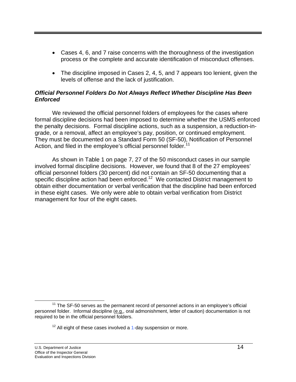- Cases 4, 6, and 7 raise concerns with the thoroughness of the investigation process or the complete and accurate identification of misconduct offenses.
- The discipline imposed in Cases 2, 4, 5, and 7 appears too lenient, given the levels of offense and the lack of justification.

#### *Official Personnel Folders Do Not Always Reflect Whether Discipline Has Been Enforced*

We reviewed the official personnel folders of employees for the cases where formal discipline decisions had been imposed to determine whether the USMS enforced the penalty decisions. Formal discipline actions, such as a suspension, a reduction-ingrade, or a removal, affect an employee's pay, position, or continued employment. They must be documented on a Standard Form 50 (SF-50), Notification of Personnel Action, and filed in the employee's official personnel folder.<sup>11</sup>

As shown in Table 1 on page 7, 27 of the 50 misconduct cases in our sample involved formal discipline decisions. However, we found that 8 of the 27 employees' official personnel folders (30 percent) did not contain an SF-50 documenting that a specific discipline action had been enforced.<sup>12</sup> We contacted District management to obtain either documentation or verbal verification that the discipline had been enforced in these eight cases. We only were able to obtain verbal verification from District management for four of the eight cases.

 $\overline{a}$ 

 $11$  The SF-50 serves as the permanent record of personnel actions in an employee's official personnel folder. Informal discipline (e.g., oral admonishment, letter of caution) documentation is not required to be in the official personnel folders.

 $12$  All eight of these cases involved a 1-day suspension or more.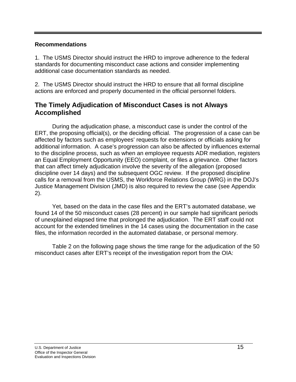### <span id="page-19-0"></span>**Recommendations**

1. The USMS Director should instruct the HRD to improve adherence to the federal standards for documenting misconduct case actions and consider implementing additional case documentation standards as needed.

2. The USMS Director should instruct the HRD to ensure that all formal discipline actions are enforced and properly documented in the official personnel folders.

## **The Timely Adjudication of Misconduct Cases is not Always Accomplished**

During the adjudication phase, a misconduct case is under the control of the ERT, the proposing official(s), or the deciding official. The progression of a case can be affected by factors such as employees' requests for extensions or officials asking for additional information. A case's progression can also be affected by influences external to the discipline process, such as when an employee requests ADR mediation, registers an Equal Employment Opportunity (EEO) complaint, or files a grievance. Other factors that can affect timely adjudication involve the severity of the allegation (proposed discipline over 14 days) and the subsequent OGC review. If the proposed discipline calls for a removal from the USMS, the Workforce Relations Group (WRG) in the DOJ's Justice Management Division (JMD) is also required to review the case (see Appendix 2).

Yet, based on the data in the case files and the ERT's automated database, we found 14 of the 50 misconduct cases (28 percent) in our sample had significant periods of unexplained elapsed time that prolonged the adjudication. The ERT staff could not account for the extended timelines in the 14 cases using the documentation in the case files, the information recorded in the automated database, or personal memory.

Table 2 on the following page shows the time range for the adjudication of the 50 misconduct cases after ERT's receipt of the investigation report from the OIA: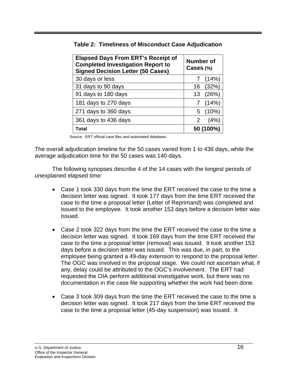| <b>Elapsed Days From ERT's Receipt of</b><br><b>Completed Investigation Report to</b><br><b>Signed Decision Letter (50 Cases)</b> | <b>Number of</b><br>Cases (%) |  |  |
|-----------------------------------------------------------------------------------------------------------------------------------|-------------------------------|--|--|
| 30 days or less                                                                                                                   | 7(14%)                        |  |  |
| 31 days to 90 days                                                                                                                | 16 (32%)                      |  |  |
| 91 days to 180 days                                                                                                               | 13 (26%)                      |  |  |
| 181 days to 270 days                                                                                                              | 7(14%)                        |  |  |
| 271 days to 360 days                                                                                                              | 5(10%)                        |  |  |
| 361 days to 436 days                                                                                                              | 2 <sup>1</sup><br>(4%)        |  |  |
| Total                                                                                                                             | 50 (100%)                     |  |  |

Source: ERT official case files and automated database.

The overall adjudication timeline for the 50 cases varied from 1 to 436 days, while the average adjudication time for the 50 cases was 140 days.

The following synopses describe 4 of the 14 cases with the longest periods of unexplained elapsed time:

- Case 1 took 330 days from the time the ERT received the case to the time a decision letter was signed. It took 177 days from the time ERT received the case to the time a proposal letter (Letter of Reprimand) was completed and issued to the employee. It took another 153 days before a decision letter was issued.
- Case 2 took 322 days from the time the ERT received the case to the time a decision letter was signed. It took 169 days from the time ERT received the case to the time a proposal letter (removal) was issued. It took another 153 days before a decision letter was issued. This was due, in part, to the employee being granted a 49-day extension to respond to the proposal letter. The OGC was involved in the proposal stage. We could not ascertain what, if any, delay could be attributed to the OGC's involvement. The ERT had requested the OIA perform additional investigative work, but there was no documentation in the case file supporting whether the work had been done.
- Case 3 took 309 days from the time the ERT received the case to the time a decision letter was signed. It took 217 days from the time ERT received the case to the time a proposal letter (45-day suspension) was issued. It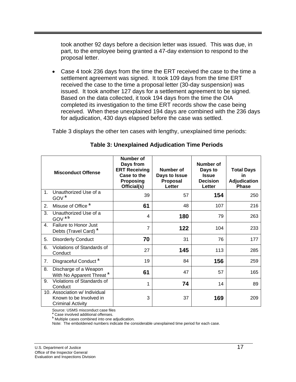took another 92 days before a decision letter was issued. This was due, in part, to the employee being granted a 47-day extension to respond to the proposal letter.

• Case 4 took 236 days from the time the ERT received the case to the time a settlement agreement was signed. It took 109 days from the time ERT received the case to the time a proposal letter (30-day suspension) was issued. It took another 127 days for a settlement agreement to be signed. Based on the data collected, it took 194 days from the time the OIA completed its investigation to the time ERT records show the case being received. When these unexplained 194 days are combined with the 236 days for adjudication, 430 days elapsed before the case was settled.

Table 3 displays the other ten cases with lengthy, unexplained time periods:

|    | <b>Misconduct Offense</b>                                                            | <b>Number of</b><br>Days from<br><b>ERT Receiving</b><br>Case to the<br>Proposing<br>Official(s) | Number of<br>Days to Issue<br><b>Proposal</b><br>Letter | Number of<br>Days to<br><b>Issue</b><br><b>Decision</b><br>Letter | <b>Total Days</b><br>in<br>Adjudication<br><b>Phase</b> |
|----|--------------------------------------------------------------------------------------|--------------------------------------------------------------------------------------------------|---------------------------------------------------------|-------------------------------------------------------------------|---------------------------------------------------------|
| 1. | Unauthorized Use of a<br>GOV <sup>a</sup>                                            | 39                                                                                               | 57                                                      | 154                                                               | 250                                                     |
| 2. | Misuse of Office <sup>a</sup>                                                        | 61                                                                                               | 48                                                      | 107                                                               | 216                                                     |
| 3. | Unauthorized Use of a<br>GOV <sup>ab</sup>                                           | 4                                                                                                | 180                                                     | 79                                                                | 263                                                     |
| 4. | Failure to Honor Just<br>Debts (Travel Card) <sup>a</sup>                            | $\overline{7}$                                                                                   | 122                                                     | 104                                                               | 233                                                     |
| 5. | <b>Disorderly Conduct</b>                                                            | 70                                                                                               | 31                                                      | 76                                                                | 177                                                     |
| 6. | Violations of Standards of<br>Conduct                                                | 27                                                                                               | 145                                                     | 113                                                               | 285                                                     |
| 7. | Disgraceful Conduct <sup>a</sup>                                                     | 19                                                                                               | 84                                                      | 156                                                               | 259                                                     |
| 8. | Discharge of a Weapon<br>With No Apparent Threat <sup>a</sup>                        | 61                                                                                               | 47                                                      | 57                                                                | 165                                                     |
| 9. | Violations of Standards of<br>Conduct                                                | 1                                                                                                | 74                                                      | 14                                                                | 89                                                      |
|    | 10. Association w/ Individual<br>Known to be Involved in<br><b>Criminal Activity</b> | 3                                                                                                | 37                                                      | 169                                                               | 209                                                     |

Source: USMS misconduct case files **<sup>a</sup>**

<sup>a</sup> Case involved additional offenses.

**b** Multiple cases combined into one adjudication.

Note: The emboldened numbers indicate the considerable unexplained time period for each case.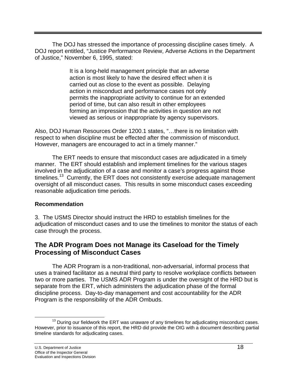<span id="page-22-0"></span>The DOJ has stressed the importance of processing discipline cases timely. A DOJ report entitled, "Justice Performance Review, Adverse Actions in the Department of Justice," November 6, 1995, stated:

> It is a long-held management principle that an adverse action is most likely to have the desired effect when it is carried out as close to the event as possible. Delaying action in misconduct and performance cases not only permits the inappropriate activity to continue for an extended period of time, but can also result in other employees forming an impression that the activities in question are not viewed as serious or inappropriate by agency supervisors.

Also, DOJ Human Resources Order 1200.1 states, "…there is no limitation with respect to when discipline must be effected after the commission of misconduct. However, managers are encouraged to act in a timely manner."

The ERT needs to ensure that misconduct cases are adjudicated in a timely manner. The ERT should establish and implement timelines for the various stages involved in the adjudication of a case and monitor a case's progress against those timelines.<sup>13</sup> Currently, the ERT does not consistently exercise adequate management oversight of all misconduct cases. This results in some misconduct cases exceeding reasonable adjudication time periods.

### **Recommendation**

3. The USMS Director should instruct the HRD to establish timelines for the adjudication of misconduct cases and to use the timelines to monitor the status of each case through the process.

## **The ADR Program Does not Manage its Caseload for the Timely Processing of Misconduct Cases**

The ADR Program is a non-traditional, non-adversarial, informal process that uses a trained facilitator as a neutral third party to resolve workplace conflicts between two or more parties. The USMS ADR Program is under the oversight of the HRD but is separate from the ERT, which administers the adjudication phase of the formal discipline process. Day-to-day management and cost accountability for the ADR Program is the responsibility of the ADR Ombuds.

 $\overline{a}$  $13$  During our fieldwork the ERT was unaware of any timelines for adjudicating misconduct cases. However, prior to issuance of this report, the HRD did provide the OIG with a document describing partial timeline standards for adjudicating cases.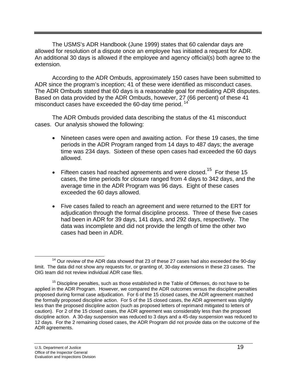The USMS's ADR Handbook (June 1999) states that 60 calendar days are allowed for resolution of a dispute once an employee has initiated a request for ADR. An additional 30 days is allowed if the employee and agency official(s) both agree to the extension.

According to the ADR Ombuds, approximately 150 cases have been submitted to ADR since the program's inception; 41 of these were identified as misconduct cases. The ADR Ombuds stated that 60 days is a reasonable goal for mediating ADR disputes. Based on data provided by the ADR Ombuds, however, 27 (66 percent) of these 41 misconduct cases have exceeded the 60-day time period.<sup>14</sup>

The ADR Ombuds provided data describing the status of the 41 misconduct cases. Our analysis showed the following:

- Nineteen cases were open and awaiting action. For these 19 cases, the time periods in the ADR Program ranged from 14 days to 487 days; the average time was 234 days. Sixteen of these open cases had exceeded the 60 days allowed.
- Fifteen cases had reached agreements and were closed.<sup>15</sup> For these 15 cases, the time periods for closure ranged from 4 days to 342 days, and the average time in the ADR Program was 96 days. Eight of these cases exceeded the 60 days allowed.
- Five cases failed to reach an agreement and were returned to the ERT for adjudication through the formal discipline process. Three of these five cases had been in ADR for 39 days, 141 days, and 292 days, respectively. The data was incomplete and did not provide the length of time the other two cases had been in ADR.

 $\overline{a}$  $14$  Our review of the ADR data showed that 23 of these 27 cases had also exceeded the 90-day limit. The data did not show any requests for, or granting of, 30-day extensions in these 23 cases. The OIG team did not review individual ADR case files.

 $15$  Discipline penalties, such as those established in the Table of Offenses, do not have to be applied in the ADR Program. However, we compared the ADR outcomes versus the discipline penalties proposed during formal case adjudication. For 6 of the 15 closed cases, the ADR agreement matched the formally proposed discipline action. For 5 of the 15 closed cases, the ADR agreement was slightly less than the proposed discipline action (such as proposed letters of reprimand mitigated to letters of caution). For 2 of the 15 closed cases, the ADR agreement was considerably less than the proposed discipline action. A 30-day suspension was reduced to 3 days and a 45-day suspension was reduced to 12 days. For the 2 remaining closed cases, the ADR Program did not provide data on the outcome of the ADR agreements.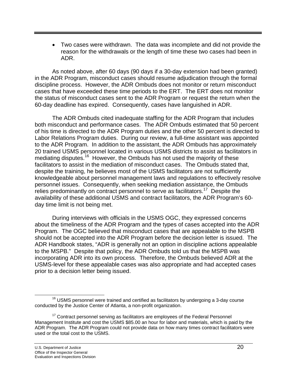• Two cases were withdrawn. The data was incomplete and did not provide the reason for the withdrawals or the length of time these two cases had been in ADR.

As noted above, after 60 days (90 days if a 30-day extension had been granted) in the ADR Program, misconduct cases should resume adjudication through the formal discipline process. However, the ADR Ombuds does not monitor or return misconduct cases that have exceeded these time periods to the ERT. The ERT does not monitor the status of misconduct cases sent to the ADR Program or request the return when the 60-day deadline has expired. Consequently, cases have languished in ADR.

The ADR Ombuds cited inadequate staffing for the ADR Program that includes both misconduct and performance cases. The ADR Ombuds estimated that 50 percent of his time is directed to the ADR Program duties and the other 50 percent is directed to Labor Relations Program duties. During our review, a full-time assistant was appointed to the ADR Program. In addition to the assistant, the ADR Ombuds has approximately 20 trained USMS personnel located in various USMS districts to assist as facilitators in mediating disputes.<sup>16</sup> However, the Ombuds has not used the majority of these facilitators to assist in the mediation of misconduct cases. The Ombuds stated that, despite the training, he believes most of the USMS facilitators are not sufficiently knowledgeable about personnel management laws and regulations to effectively resolve personnel issues. Consequently, when seeking mediation assistance, the Ombuds relies predominantly on contract personnel to serve as facilitators.<sup>17</sup> Despite the availability of these additional USMS and contract facilitators, the ADR Program's 60 day time limit is not being met.

During interviews with officials in the USMS OGC, they expressed concerns about the timeliness of the ADR Program and the types of cases accepted into the ADR Program. The OGC believed that misconduct cases that are appealable to the MSPB should not be accepted into the ADR Program before the decision letter is issued. The ADR Handbook states, "ADR is generally not an option in discipline actions appealable to the MSPB." Despite that policy, the ADR Ombuds told us that the MSPB was incorporating ADR into its own process. Therefore, the Ombuds believed ADR at the USMS-level for these appealable cases was also appropriate and had accepted cases prior to a decision letter being issued.

 $\overline{a}$ <sup>16</sup> USMS personnel were trained and certified as facilitators by undergoing a 3-day course conducted by the Justice Center of Atlanta, a non-profit organization.

 $17$  Contract personnel serving as facilitators are employees of the Federal Personnel Management Institute and cost the USMS \$85.00 an hour for labor and materials, which is paid by the ADR Program. The ADR Program could not provide data on how many times contract facilitators were used or the total cost to the USMS.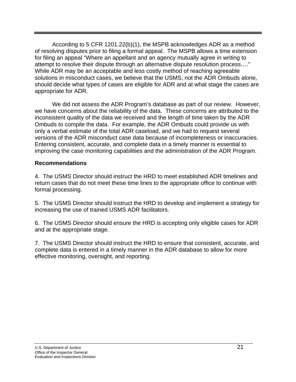<span id="page-25-0"></span>According to 5 CFR 1201.22(b)(1), the MSPB acknowledges ADR as a method of resolving disputes prior to filing a formal appeal. The MSPB allows a time extension for filing an appeal "Where an appellant and an agency mutually agree in writing to attempt to resolve their dispute through an alternative dispute resolution process…." While ADR may be an acceptable and less costly method of reaching agreeable solutions in misconduct cases, we believe that the USMS, not the ADR Ombuds alone, should decide what types of cases are eligible for ADR and at what stage the cases are appropriate for ADR.

We did not assess the ADR Program's database as part of our review. However, we have concerns about the reliability of the data. These concerns are attributed to the inconsistent quality of the data we received and the length of time taken by the ADR Ombuds to compile the data. For example, the ADR Ombuds could provide us with only a verbal estimate of the total ADR caseload, and we had to request several versions of the ADR misconduct case data because of incompleteness or inaccuracies. Entering consistent, accurate, and complete data in a timely manner is essential to improving the case monitoring capabilities and the administration of the ADR Program.

#### **Recommendations**

4. The USMS Director should instruct the HRD to meet established ADR timelines and return cases that do not meet these time lines to the appropriate office to continue with formal processing.

5. The USMS Director should instruct the HRD to develop and implement a strategy for increasing the use of trained USMS ADR facilitators.

6. The USMS Director should ensure the HRD is accepting only eligible cases for ADR and at the appropriate stage.

7. The USMS Director should instruct the HRD to ensure that consistent, accurate, and complete data is entered in a timely manner in the ADR database to allow for more effective monitoring, oversight, and reporting.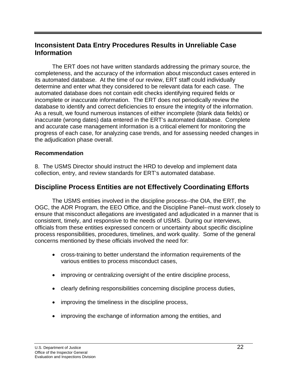## <span id="page-26-0"></span>**Inconsistent Data Entry Procedures Results in Unreliable Case Information**

The ERT does not have written standards addressing the primary source, the completeness, and the accuracy of the information about misconduct cases entered in its automated database. At the time of our review, ERT staff could individually determine and enter what they considered to be relevant data for each case. The automated database does not contain edit checks identifying required fields or incomplete or inaccurate information. The ERT does not periodically review the database to identify and correct deficiencies to ensure the integrity of the information. As a result, we found numerous instances of either incomplete (blank data fields) or inaccurate (wrong dates) data entered in the ERT's automated database. Complete and accurate case management information is a critical element for monitoring the progress of each case, for analyzing case trends, and for assessing needed changes in the adjudication phase overall.

#### **Recommendation**

8. The USMS Director should instruct the HRD to develop and implement data collection, entry, and review standards for ERT's automated database.

## **Discipline Process Entities are not Effectively Coordinating Efforts**

The USMS entities involved in the discipline process--the OIA, the ERT, the OGC, the ADR Program, the EEO Office, and the Discipline Panel--must work closely to ensure that misconduct allegations are investigated and adjudicated in a manner that is consistent, timely, and responsive to the needs of USMS. During our interviews, officials from these entities expressed concern or uncertainty about specific discipline process responsibilities, procedures, timelines, and work quality. Some of the general concerns mentioned by these officials involved the need for:

- cross-training to better understand the information requirements of the various entities to process misconduct cases,
- improving or centralizing oversight of the entire discipline process,
- clearly defining responsibilities concerning discipline process duties,
- improving the timeliness in the discipline process,
- improving the exchange of information among the entities, and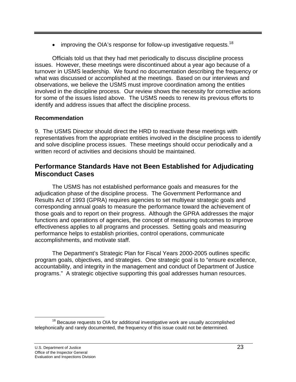$\bullet$  improving the OIA's response for follow-up investigative requests.<sup>18</sup>

<span id="page-27-0"></span>Officials told us that they had met periodically to discuss discipline process issues. However, these meetings were discontinued about a year ago because of a turnover in USMS leadership. We found no documentation describing the frequency or what was discussed or accomplished at the meetings. Based on our interviews and observations, we believe the USMS must improve coordination among the entities involved in the discipline process. Our review shows the necessity for corrective actions for some of the issues listed above. The USMS needs to renew its previous efforts to identify and address issues that affect the discipline process.

## **Recommendation**

9. The USMS Director should direct the HRD to reactivate these meetings with representatives from the appropriate entities involved in the discipline process to identify and solve discipline process issues. These meetings should occur periodically and a written record of activities and decisions should be maintained.

## **Performance Standards Have not Been Established for Adjudicating Misconduct Cases**

The USMS has not established performance goals and measures for the adjudication phase of the discipline process. The Government Performance and Results Act of 1993 (GPRA) requires agencies to set multiyear strategic goals and corresponding annual goals to measure the performance toward the achievement of those goals and to report on their progress. Although the GPRA addresses the major functions and operations of agencies, the concept of measuring outcomes to improve effectiveness applies to all programs and processes. Setting goals and measuring performance helps to establish priorities, control operations, communicate accomplishments, and motivate staff.

The Department's Strategic Plan for Fiscal Years 2000-2005 outlines specific program goals, objectives, and strategies. One strategic goal is to "ensure excellence, accountability, and integrity in the management and conduct of Department of Justice programs." A strategic objective supporting this goal addresses human resources.

 $\overline{a}$  $18$  Because requests to OIA for additional investigative work are usually accomplished telephonically and rarely documented, the frequency of this issue could not be determined.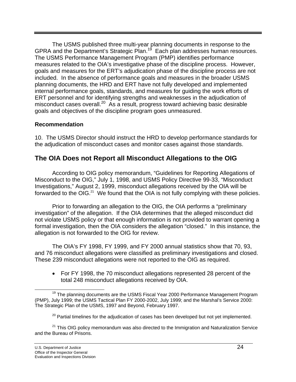<span id="page-28-0"></span>The USMS published three multi-year planning documents in response to the GPRA and the Department's Strategic Plan.<sup>19</sup> Each plan addresses human resources. The USMS Performance Management Program (PMP) identifies performance measures related to the OIA's investigative phase of the discipline process. However, goals and measures for the ERT's adjudication phase of the discipline process are not included. In the absence of performance goals and measures in the broader USMS planning documents, the HRD and ERT have not fully developed and implemented internal performance goals, standards, and measures for guiding the work efforts of ERT personnel and for identifying strengths and weaknesses in the adjudication of misconduct cases overall.<sup>20</sup> As a result, progress toward achieving basic desirable goals and objectives of the discipline program goes unmeasured.

## **Recommendation**

10. The USMS Director should instruct the HRD to develop performance standards for the adjudication of misconduct cases and monitor cases against those standards.

## **The OIA Does not Report all Misconduct Allegations to the OIG**

According to OIG policy memorandum, "Guidelines for Reporting Allegations of Misconduct to the OIG," July 1, 1998, and USMS Policy Directive 99-33, "Misconduct Investigations," August 2, 1999, misconduct allegations received by the OIA will be forwarded to the OIG. $21$  We found that the OIA is not fully complying with these policies.

Prior to forwarding an allegation to the OIG, the OIA performs a "preliminary investigation" of the allegation. If the OIA determines that the alleged misconduct did not violate USMS policy or that enough information is not provided to warrant opening a formal investigation, then the OIA considers the allegation "closed." In this instance, the allegation is not forwarded to the OIG for review.

The OIA's FY 1998, FY 1999, and FY 2000 annual statistics show that 70, 93, and 76 misconduct allegations were classified as preliminary investigations and closed. These 239 misconduct allegations were not reported to the OIG as required.

• For FY 1998, the 70 misconduct allegations represented 28 percent of the total 248 misconduct allegations received by OIA.

 $21$  This OIG policy memorandum was also directed to the Immigration and Naturalization Service and the Bureau of Prisons.

 $\overline{a}$ <sup>19</sup> The planning documents are the USMS Fiscal Year 2000 Performance Management Program (PMP), July 1999; the USMS Tactical Plan FY 2000-2002, July 1999; and the Marshal's Service 2000: The Strategic Plan of the USMS, 1997 and Beyond, February 1997.

 $20$  Partial timelines for the adjudication of cases has been developed but not yet implemented.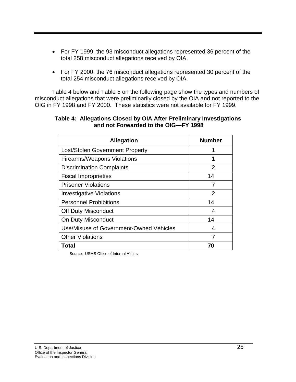- For FY 1999, the 93 misconduct allegations represented 36 percent of the total 258 misconduct allegations received by OIA.
- For FY 2000, the 76 misconduct allegations represented 30 percent of the total 254 misconduct allegations received by OIA.

Table 4 below and Table 5 on the following page show the types and numbers of misconduct allegations that were preliminarily closed by the OIA and not reported to the OIG in FY 1998 and FY 2000. These statistics were not available for FY 1999.

#### **Table 4: Allegations Closed by OIA After Preliminary Investigations and not Forwarded to the OIG—FY 1998**

| <b>Allegation</b>                       | <b>Number</b> |
|-----------------------------------------|---------------|
| <b>Lost/Stolen Government Property</b>  |               |
| Firearms/Weapons Violations             |               |
| <b>Discrimination Complaints</b>        | 2             |
| <b>Fiscal Improprieties</b>             | 14            |
| <b>Prisoner Violations</b>              | 7             |
| <b>Investigative Violations</b>         | 2             |
| <b>Personnel Prohibitions</b>           | 14            |
| <b>Off Duty Misconduct</b>              |               |
| On Duty Misconduct                      | 14            |
| Use/Misuse of Government-Owned Vehicles | 4             |
| <b>Other Violations</b>                 |               |
| Total                                   | 70            |

Source: USMS Office of Internal Affairs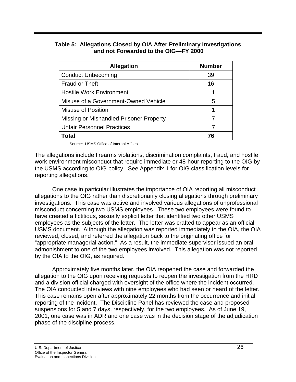### **Table 5: Allegations Closed by OIA After Preliminary Investigations and not Forwarded to the OIG—FY 2000**

| <b>Allegation</b>                       | <b>Number</b> |
|-----------------------------------------|---------------|
| <b>Conduct Unbecoming</b>               | 39            |
| <b>Fraud or Theft</b>                   | 16            |
| <b>Hostile Work Environment</b>         |               |
| Misuse of a Government-Owned Vehicle    | 5             |
| <b>Misuse of Position</b>               |               |
| Missing or Mishandled Prisoner Property |               |
| <b>Unfair Personnel Practices</b>       |               |
| Total                                   |               |

Source: USMS Office of Internal Affairs

The allegations include firearms violations, discrimination complaints, fraud, and hostile work environment misconduct that require immediate or 48-hour reporting to the OIG by the USMS according to OIG policy. See Appendix 1 for OIG classification levels for reporting allegations.

One case in particular illustrates the importance of OIA reporting all misconduct allegations to the OIG rather than discretionarily closing allegations through preliminary investigations. This case was active and involved various allegations of unprofessional misconduct concerning two USMS employees. These two employees were found to have created a fictitious, sexually explicit letter that identified two other USMS employees as the subjects of the letter. The letter was crafted to appear as an official USMS document. Although the allegation was reported immediately to the OIA, the OIA reviewed, closed, and referred the allegation back to the originating office for "appropriate managerial action." As a result, the immediate supervisor issued an oral admonishment to one of the two employees involved. This allegation was not reported by the OIA to the OIG, as required.

Approximately five months later, the OIA reopened the case and forwarded the allegation to the OIG upon receiving requests to reopen the investigation from the HRD and a division official charged with oversight of the office where the incident occurred. The OIA conducted interviews with nine employees who had seen or heard of the letter. This case remains open after approximately 22 months from the occurrence and initial reporting of the incident. The Discipline Panel has reviewed the case and proposed suspensions for 5 and 7 days, respectively, for the two employees. As of June 19, 2001, one case was in ADR and one case was in the decision stage of the adjudication phase of the discipline process.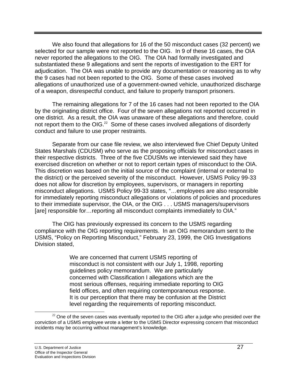We also found that allegations for 16 of the 50 misconduct cases (32 percent) we selected for our sample were not reported to the OIG. In 9 of these 16 cases, the OIA never reported the allegations to the OIG. The OIA had formally investigated and substantiated these 9 allegations and sent the reports of investigation to the ERT for adjudication. The OIA was unable to provide any documentation or reasoning as to why the 9 cases had not been reported to the OIG. Some of these cases involved allegations of unauthorized use of a government-owned vehicle, unauthorized discharge of a weapon, disrespectful conduct, and failure to properly transport prisoners.

The remaining allegations for 7 of the 16 cases had not been reported to the OIA by the originating district office. Four of the seven allegations not reported occurred in one district. As a result, the OIA was unaware of these allegations and therefore, could not report them to the OIG.<sup>22</sup> Some of these cases involved allegations of disorderly conduct and failure to use proper restraints.

Separate from our case file review, we also interviewed five Chief Deputy United States Marshals (CDUSM) who serve as the proposing officials for misconduct cases in their respective districts. Three of the five CDUSMs we interviewed said they have exercised discretion on whether or not to report certain types of misconduct to the OIA. This discretion was based on the initial source of the complaint (internal or external to the district) or the perceived severity of the misconduct. However, USMS Policy 99-33 does not allow for discretion by employees, supervisors, or managers in reporting misconduct allegations. USMS Policy 99-33 states, "…employees are also responsible for immediately reporting misconduct allegations or violations of policies and procedures to their immediate supervisor, the OIA, or the OIG . . . USMS managers/supervisors [are] responsible for... reporting all misconduct complaints immediately to OIA."

The OIG has previously expressed its concern to the USMS regarding compliance with the OIG reporting requirements. In an OIG memorandum sent to the USMS, "Policy on Reporting Misconduct," February 23, 1999, the OIG Investigations Division stated,

> We are concerned that current USMS reporting of misconduct is not consistent with our July 1, 1998, reporting guidelines policy memorandum. We are particularly concerned with Classification I allegations which are the most serious offenses, requiring immediate reporting to OIG field offices, and often requiring contemporaneous response. It is our perception that there may be confusion at the District level regarding the requirements of reporting misconduct.

l

 $22$  One of the seven cases was eventually reported to the OIG after a judge who presided over the conviction of a USMS employee wrote a letter to the USMS Director expressing concern that misconduct incidents may be occurring without management's knowledge.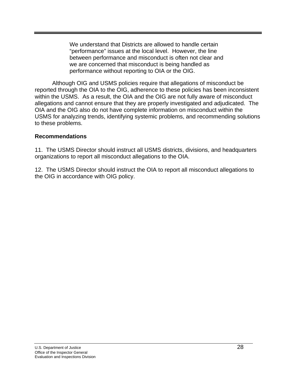<span id="page-32-0"></span>We understand that Districts are allowed to handle certain "performance" issues at the local level. However, the line between performance and misconduct is often not clear and we are concerned that misconduct is being handled as performance without reporting to OIA or the OIG.

Although OIG and USMS policies require that allegations of misconduct be reported through the OIA to the OIG, adherence to these policies has been inconsistent within the USMS. As a result, the OIA and the OIG are not fully aware of misconduct allegations and cannot ensure that they are properly investigated and adjudicated. The OIA and the OIG also do not have complete information on misconduct within the USMS for analyzing trends, identifying systemic problems, and recommending solutions to these problems.

#### **Recommendations**

11. The USMS Director should instruct all USMS districts, divisions, and headquarters organizations to report all misconduct allegations to the OIA.

12. The USMS Director should instruct the OIA to report all misconduct allegations to the OIG in accordance with OIG policy.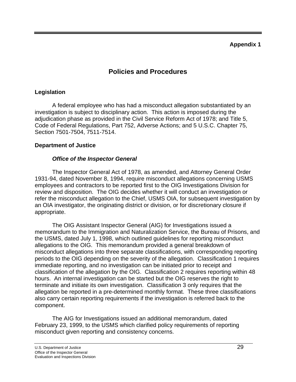**Appendix 1** 

## **Policies and Procedures**

## <span id="page-33-0"></span>**Legislation**

A federal employee who has had a misconduct allegation substantiated by an investigation is subject to disciplinary action. This action is imposed during the adjudication phase as provided in the Civil Service Reform Act of 1978; and Title 5, Code of Federal Regulations, Part 752, Adverse Actions; and 5 U.S.C. Chapter 75, Section 7501-7504, 7511-7514.

## **Department of Justice**

## *Office of the Inspector General*

The Inspector General Act of 1978, as amended, and Attorney General Order 1931-94, dated November 8, 1994, require misconduct allegations concerning USMS employees and contractors to be reported first to the OIG Investigations Division for review and disposition. The OIG decides whether it will conduct an investigation or refer the misconduct allegation to the Chief, USMS OIA, for subsequent investigation by an OIA investigator, the originating district or division, or for discretionary closure if appropriate.

The OIG Assistant Inspector General (AIG) for Investigations issued a memorandum to the Immigration and Naturalization Service, the Bureau of Prisons, and the USMS, dated July 1, 1998, which outlined guidelines for reporting misconduct allegations to the OIG. This memorandum provided a general breakdown of misconduct allegations into three separate classifications, with corresponding reporting periods to the OIG depending on the severity of the allegation. Classification 1 requires immediate reporting, and no investigation can be initiated prior to receipt and classification of the allegation by the OIG. Classification 2 requires reporting within 48 hours. An internal investigation can be started but the OIG reserves the right to terminate and initiate its own investigation. Classification 3 only requires that the allegation be reported in a pre-determined monthly format. These three classifications also carry certain reporting requirements if the investigation is referred back to the component.

The AIG for Investigations issued an additional memorandum, dated February 23, 1999, to the USMS which clarified policy requirements of reporting misconduct given reporting and consistency concerns.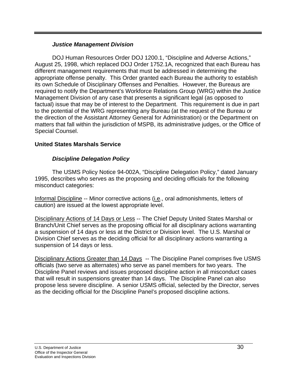## *Justice Management Division*

DOJ Human Resources Order DOJ 1200.1, "Discipline and Adverse Actions," August 25, 1998, which replaced DOJ Order 1752.1A, recognized that each Bureau has different management requirements that must be addressed in determining the appropriate offense penalty. This Order granted each Bureau the authority to establish its own Schedule of Disciplinary Offenses and Penalties. However, the Bureaus are required to notify the Department's Workforce Relations Group (WRG) within the Justice Management Division of any case that presents a significant legal (as opposed to factual) issue that may be of interest to the Department. This requirement is due in part to the potential of the WRG representing any Bureau (at the request of the Bureau or the direction of the Assistant Attorney General for Administration) or the Department on matters that fall within the jurisdiction of MSPB, its administrative judges, or the Office of Special Counsel.

## **United States Marshals Service**

## *Discipline Delegation Policy*

The USMS Policy Notice 94-002A, "Discipline Delegation Policy," dated January 1995, describes who serves as the proposing and deciding officials for the following misconduct categories:

Informal Discipline -- Minor corrective actions (i.e., oral admonishments, letters of caution) are issued at the lowest appropriate level.

Disciplinary Actions of 14 Days or Less -- The Chief Deputy United States Marshal or Branch/Unit Chief serves as the proposing official for all disciplinary actions warranting a suspension of 14 days or less at the District or Division level. The U.S. Marshal or Division Chief serves as the deciding official for all disciplinary actions warranting a suspension of 14 days or less.

Disciplinary Actions Greater than 14 Days -- The Discipline Panel comprises five USMS officials (two serve as alternates) who serve as panel members for two years. The Discipline Panel reviews and issues proposed discipline action in all misconduct cases that will result in suspensions greater than 14 days. The Discipline Panel can also propose less severe discipline. A senior USMS official, selected by the Director, serves as the deciding official for the Discipline Panel's proposed discipline actions.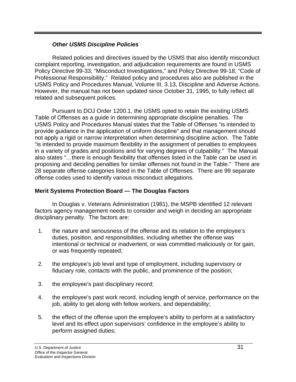## *Other USMS Discipline Policies*

Related policies and directives issued by the USMS that also identify misconduct complaint reporting, investigation, and adjudication requirements are found in USMS Policy Directive 99-33, "Misconduct Investigations," and Policy Directive 99-18, "Code of Professional Responsibility." Related policy and procedures also are published in the USMS Policy and Procedures Manual, Volume III, 3.13, Discipline and Adverse Actions. However, the manual has not been updated since October 31, 1995, to fully reflect all related and subsequent polices.

Pursuant to DOJ Order 1200.1, the USMS opted to retain the existing USMS Table of Offenses as a guide in determining appropriate discipline penalties. The USMS Policy and Procedures Manual states that the Table of Offenses "is intended to provide guidance in the application of uniform discipline" and that management should not apply a rigid or narrow interpretation when determining discipline action. The Table "is intended to provide maximum flexibility in the assignment of penalties to employees in a variety of grades and positions and for varying degrees of culpability." The Manual also states "…there is enough flexibility that offenses listed in the Table can be used in proposing and deciding penalties for similar offenses not found in the Table." There are 28 separate offense categories listed in the Table of Offenses. There are 99 separate offense codes used to identify various misconduct allegations.

## **Merit Systems Protection Board — The Douglas Factors**

In Douglas v. Veterans Administration (1981), the MSPB identified 12 relevant factors agency management needs to consider and weigh in deciding an appropriate disciplinary penalty. The factors are:

- 1. the nature and seriousness of the offense and its relation to the employee's duties, position, and responsibilities, including whether the offense was intentional or technical or inadvertent, or was committed maliciously or for gain, or was frequently repeated;
- 2. the employee's job level and type of employment, including supervisory or fiduciary role, contacts with the public, and prominence of the position;
- 3. the employee's past disciplinary record;
- 4. the employee's past work record, including length of service, performance on the job, ability to get along with fellow workers, and dependability;
- 5. the effect of the offense upon the employee's ability to perform at a satisfactory level and its effect upon supervisors' confidence in the employee's ability to perform assigned duties;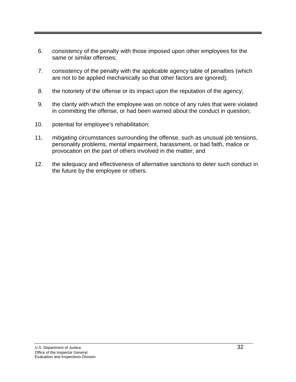- 6. consistency of the penalty with those imposed upon other employees for the same or similar offenses;
- 7. consistency of the penalty with the applicable agency table of penalties (which are not to be applied mechanically so that other factors are ignored);
- 8. the notoriety of the offense or its impact upon the reputation of the agency;
- 9. the clarity with which the employee was on notice of any rules that were violated in committing the offense, or had been warned about the conduct in question;
- 10. potential for employee's rehabilitation;
- 11. mitigating circumstances surrounding the offense, such as unusual job tensions, personality problems, mental impairment, harassment, or bad faith, malice or provocation on the part of others involved in the matter; and
- 12. the adequacy and effectiveness of alternative sanctions to deter such conduct in the future by the employee or others.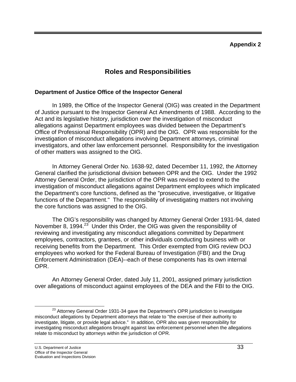**Appendix 2** 

## **Roles and Responsibilities**

#### <span id="page-37-0"></span>**Department of Justice Office of the Inspector General**

In 1989, the Office of the Inspector General (OIG) was created in the Department of Justice pursuant to the Inspector General Act Amendments of 1988. According to the Act and its legislative history, jurisdiction over the investigation of misconduct allegations against Department employees was divided between the Department's Office of Professional Responsibility (OPR) and the OIG. OPR was responsible for the investigation of misconduct allegations involving Department attorneys, criminal investigators, and other law enforcement personnel. Responsibility for the investigation of other matters was assigned to the OIG.

In Attorney General Order No. 1638-92, dated December 11, 1992, the Attorney General clarified the jurisdictional division between OPR and the OIG. Under the 1992 Attorney General Order, the jurisdiction of the OPR was revised to extend to the investigation of misconduct allegations against Department employees which implicated the Department's core functions, defined as the "prosecutive, investigative, or litigative functions of the Department." The responsibility of investigating matters not involving the core functions was assigned to the OIG.

The OIG's responsibility was changed by Attorney General Order 1931-94, dated November 8, 1994.<sup>23</sup> Under this Order, the OIG was given the responsibility of reviewing and investigating any misconduct allegations committed by Department employees, contractors, grantees, or other individuals conducting business with or receiving benefits from the Department. This Order exempted from OIG review DOJ employees who worked for the Federal Bureau of Investigation (FBI) and the Drug Enforcement Administration (DEA)--each of these components has its own internal OPR.

An Attorney General Order, dated July 11, 2001, assigned primary jurisdiction over allegations of misconduct against employees of the DEA and the FBI to the OIG.

 $\overline{a}$ <sup>23</sup> Attorney General Order 1931-34 gave the Department's OPR jurisdiction to investigate misconduct allegations by Department attorneys that relate to "the exercise of their authority to investigate, litigate, or provide legal advice." In addition, OPR also was given responsibility for investigating misconduct allegations brought against law enforcement personnel when the allegations relate to misconduct by attorneys within the jurisdiction of OPR.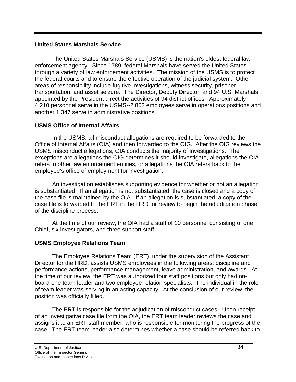#### **United States Marshals Service**

The United States Marshals Service (USMS) is the nation's oldest federal law enforcement agency. Since 1789, federal Marshals have served the United States through a variety of law enforcement activities. The mission of the USMS is to protect the federal courts and to ensure the effective operation of the judicial system. Other areas of responsibility include fugitive investigations, witness security, prisoner transportation, and asset seizure. The Director, Deputy Director, and 94 U.S. Marshals appointed by the President direct the activities of 94 district offices. Approximately 4,210 personnel serve in the USMS--2,863 employees serve in operations positions and another 1,347 serve in administrative positions.

## **USMS Office of Internal Affairs**

In the USMS, all misconduct allegations are required to be forwarded to the Office of Internal Affairs (OIA) and then forwarded to the OIG. After the OIG reviews the USMS misconduct allegations, OIA conducts the majority of investigations. The exceptions are allegations the OIG determines it should investigate, allegations the OIA refers to other law enforcement entities, or allegations the OIA refers back to the employee's office of employment for investigation.

An investigation establishes supporting evidence for whether or not an allegation is substantiated. If an allegation is not substantiated, the case is closed and a copy of the case file is maintained by the OIA. If an allegation is substantiated, a copy of the case file is forwarded to the ERT in the HRD for review to begin the adjudication phase of the discipline process.

At the time of our review, the OIA had a staff of 10 personnel consisting of one Chief, six investigators, and three support staff.

### **USMS Employee Relations Team**

The Employee Relations Team (ERT), under the supervision of the Assistant Director for the HRD, assists USMS employees in the following areas: discipline and performance actions, performance management, leave administration, and awards. At the time of our review, the ERT was authorized four staff positions but only had onboard one team leader and two employee relation specialists. The individual in the role of team leader was serving in an acting capacity. At the conclusion of our review, the position was officially filled.

The ERT is responsible for the adjudication of misconduct cases. Upon receipt of an investigative case file from the OIA, the ERT team leader reviews the case and assigns it to an ERT staff member, who is responsible for monitoring the progress of the case. The ERT team leader also determines whether a case should be referred back to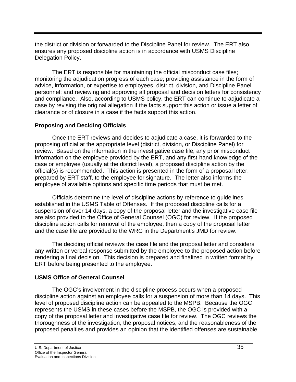the district or division or forwarded to the Discipline Panel for review. The ERT also ensures any proposed discipline action is in accordance with USMS Discipline Delegation Policy.

The ERT is responsible for maintaining the official misconduct case files; monitoring the adjudication progress of each case; providing assistance in the form of advice, information, or expertise to employees, district, division, and Discipline Panel personnel; and reviewing and approving all proposal and decision letters for consistency and compliance. Also, according to USMS policy, the ERT can continue to adjudicate a case by revising the original allegation if the facts support this action or issue a letter of clearance or of closure in a case if the facts support this action.

## **Proposing and Deciding Officials**

Once the ERT reviews and decides to adjudicate a case, it is forwarded to the proposing official at the appropriate level (district, division, or Discipline Panel) for review. Based on the information in the investigative case file, any prior misconduct information on the employee provided by the ERT, and any first-hand knowledge of the case or employee (usually at the district level), a proposed discipline action by the official(s) is recommended. This action is presented in the form of a proposal letter, prepared by ERT staff, to the employee for signature. The letter also informs the employee of available options and specific time periods that must be met.

Officials determine the level of discipline actions by reference to guidelines established in the USMS Table of Offenses. If the proposed discipline calls for a suspension of over 14 days, a copy of the proposal letter and the investigative case file are also provided to the Office of General Counsel (OGC) for review. If the proposed discipline action calls for removal of the employee, then a copy of the proposal letter and the case file are provided to the WRG in the Department's JMD for review.

The deciding official reviews the case file and the proposal letter and considers any written or verbal response submitted by the employee to the proposed action before rendering a final decision. This decision is prepared and finalized in written format by ERT before being presented to the employee.

## **USMS Office of General Counsel**

The OGC's involvement in the discipline process occurs when a proposed discipline action against an employee calls for a suspension of more than 14 days. This level of proposed discipline action can be appealed to the MSPB. Because the OGC represents the USMS in these cases before the MSPB, the OGC is provided with a copy of the proposal letter and investigative case file for review. The OGC reviews the thoroughness of the investigation, the proposal notices, and the reasonableness of the proposed penalties and provides an opinion that the identified offenses are sustainable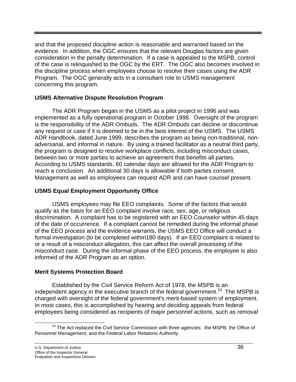and that the proposed discipline action is reasonable and warranted based on the evidence. In addition, the OGC ensures that the relevant Douglas factors are given consideration in the penalty determination. If a case is appealed to the MSPB, control of the case is relinquished to the OGC by the ERT. The OGC also becomes involved in the discipline process when employees choose to resolve their cases using the ADR Program. The OGC generally acts in a consultant role to USMS management concerning this program.

#### **USMS Alternative Dispute Resolution Program**

The ADR Program began in the USMS as a pilot project in 1996 and was implemented as a fully operational program in October 1998. Oversight of the program is the responsibility of the ADR Ombuds. The ADR Ombuds can decline or discontinue any request or case if it is deemed to be in the best interest of the USMS. The USMS ADR Handbook, dated June 1999, describes the program as being non-traditional, nonadversarial, and informal in nature. By using a trained facilitator as a neutral third party, the program is designed to resolve workplace conflicts, including misconduct cases, between two or more parties to achieve an agreement that benefits all parties. According to USMS standards, 60 calendar days are allowed for the ADR Program to reach a conclusion. An additional 30 days is allowable if both parties consent. Management as well as employees can request ADR and can have counsel present.

### **USMS Equal Employment Opportunity Office**

USMS employees may file EEO complaints. Some of the factors that would qualify as the basis for an EEO complaint involve race, sex, age, or religious discrimination. A complaint has to be registered with an EEO Counselor within 45 days of the date of occurrence. If a complaint cannot be remedied during the informal phase of the EEO process and the evidence warrants, the USMS EEO Office will conduct a formal investigation (to be completed within180 days). If an EEO complaint is related to or a result of a misconduct allegation, this can affect the overall processing of the misconduct case. During the informal phase of the EEO process, the employee is also informed of the ADR Program as an option.

### **Merit Systems Protection Board**

Established by the Civil Service Reform Act of 1978, the MSPB is an independent agency in the executive branch of the federal government. $^{24}$  The MSPB is charged with oversight of the federal government's merit-based system of employment. In most cases, this is accomplished by hearing and deciding appeals from federal employees being considered as recipients of major personnel actions, such as removal

 $\overline{a}$ <sup>24</sup> The Act replaced the Civil Service Commission with three agencies: the MSPB, the Office of Personnel Management, and the Federal Labor Relations Authority.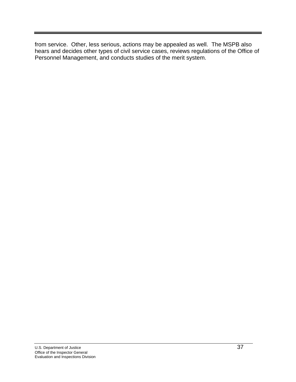from service. Other, less serious, actions may be appealed as well. The MSPB also hears and decides other types of civil service cases, reviews regulations of the Office of Personnel Management, and conducts studies of the merit system.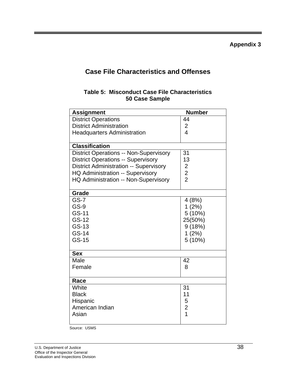## **Appendix 3**

## <span id="page-42-0"></span>**Case File Characteristics and Offenses**

### **Table 5: Misconduct Case File Characteristics 50 Case Sample**

| <b>Assignment</b>                             | <b>Number</b>            |
|-----------------------------------------------|--------------------------|
| <b>District Operations</b>                    | 44                       |
| <b>District Administration</b>                | $\overline{2}$           |
| <b>Headquarters Administration</b>            | $\overline{\mathcal{A}}$ |
|                                               |                          |
| <b>Classification</b>                         |                          |
| <b>District Operations -- Non-Supervisory</b> | 31                       |
| <b>District Operations -- Supervisory</b>     | 13                       |
| <b>District Administration -- Supervisory</b> | $\frac{2}{2}$            |
| <b>HQ Administration -- Supervisory</b>       |                          |
| HQ Administration -- Non-Supervisory          | $\overline{2}$           |
|                                               |                          |
| Grade                                         |                          |
| <b>GS-7</b>                                   | 4(8%)                    |
| GS-9                                          | 1(2%)                    |
| GS-11                                         | $5(10\%)$                |
| GS-12                                         | 25(50%)                  |
| GS-13                                         | 9(18%)                   |
| GS-14                                         | 1(2%)                    |
| GS-15                                         | 5 (10%)                  |
|                                               |                          |
| <b>Sex</b>                                    |                          |
| Male                                          | 42                       |
| Female                                        | 8                        |
|                                               |                          |
| Race                                          |                          |
| White                                         | 31                       |
| <b>Black</b>                                  | 11                       |
| Hispanic                                      | 5                        |
| American Indian                               | $\overline{\mathbf{c}}$  |
| Asian                                         | $\overline{1}$           |
|                                               |                          |

Source: USMS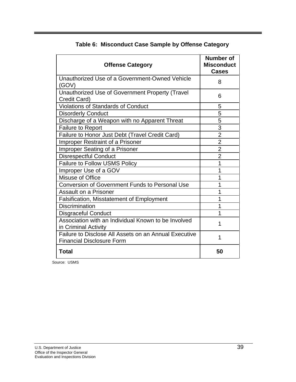| <b>Offense Category</b>                                                                   | <b>Number of</b><br><b>Misconduct</b><br><b>Cases</b> |
|-------------------------------------------------------------------------------------------|-------------------------------------------------------|
| Unauthorized Use of a Government-Owned Vehicle<br>(GOV)                                   | 8                                                     |
| Unauthorized Use of Government Property (Travel<br>Credit Card)                           | 6                                                     |
| <b>Violations of Standards of Conduct</b>                                                 | 5                                                     |
| <b>Disorderly Conduct</b>                                                                 | 5                                                     |
| Discharge of a Weapon with no Apparent Threat                                             | 5                                                     |
| <b>Failure to Report</b>                                                                  | $\overline{3}$                                        |
| Failure to Honor Just Debt (Travel Credit Card)                                           | $\overline{2}$                                        |
| <b>Improper Restraint of a Prisoner</b>                                                   | $\overline{2}$                                        |
| Improper Seating of a Prisoner                                                            | $\overline{2}$                                        |
| <b>Disrespectful Conduct</b>                                                              | $\overline{2}$                                        |
| <b>Failure to Follow USMS Policy</b>                                                      | $\overline{1}$                                        |
| Improper Use of a GOV                                                                     | 1                                                     |
| Misuse of Office                                                                          | 1                                                     |
| <b>Conversion of Government Funds to Personal Use</b>                                     | 1                                                     |
| <b>Assault on a Prisoner</b>                                                              | 1                                                     |
| <b>Falsification, Misstatement of Employment</b>                                          | 1                                                     |
| <b>Discrimination</b>                                                                     | 1                                                     |
| <b>Disgraceful Conduct</b>                                                                | 1                                                     |
| Association with an Individual Known to be Involved<br>in Criminal Activity               | 1                                                     |
| Failure to Disclose All Assets on an Annual Executive<br><b>Financial Disclosure Form</b> | 1                                                     |
| <b>Total</b>                                                                              | 50                                                    |

## **Table 6: Misconduct Case Sample by Offense Category**

Source: USMS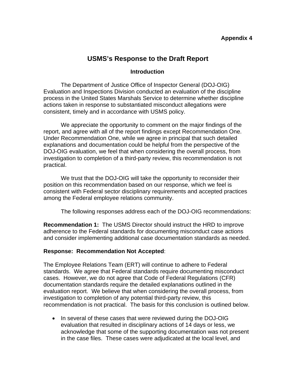## **USMS's Response to the Draft Report**

#### **Introduction**

<span id="page-44-0"></span>The Department of Justice Office of Inspector General (DOJ-OIG) Evaluation and Inspections Division conducted an evaluation of the discipline process in the United States Marshals Service to determine whether discipline actions taken in response to substantiated misconduct allegations were consistent, timely and in accordance with USMS policy.

We appreciate the opportunity to comment on the major findings of the report, and agree with all of the report findings except Recommendation One. Under Recommendation One, while we agree in principal that such detailed explanations and documentation could be helpful from the perspective of the DOJ-OIG evaluation, we feel that when considering the overall process, from investigation to completion of a third-party review, this recommendation is not practical.

We trust that the DOJ-OIG will take the opportunity to reconsider their position on this recommendation based on our response, which we feel is consistent with Federal sector disciplinary requirements and accepted practices among the Federal employee relations community.

The following responses address each of the DOJ-OIG recommendations:

**Recommendation 1:** The USMS Director should instruct the HRD to improve adherence to the Federal standards for documenting misconduct case actions and consider implementing additional case documentation standards as needed.

#### **Response: Recommendation Not Accepted**:

The Employee Relations Team (ERT) will continue to adhere to Federal standards. We agree that Federal standards require documenting misconduct cases. However, we do not agree that Code of Federal Regulations (CFR) documentation standards require the detailed explanations outlined in the evaluation report. We believe that when considering the overall process, from investigation to completion of any potential third-party review, this recommendation is not practical. The basis for this conclusion is outlined below.

• In several of these cases that were reviewed during the DOJ-OIG evaluation that resulted in disciplinary actions of 14 days or less, we acknowledge that some of the supporting documentation was not present in the case files. These cases were adjudicated at the local level, and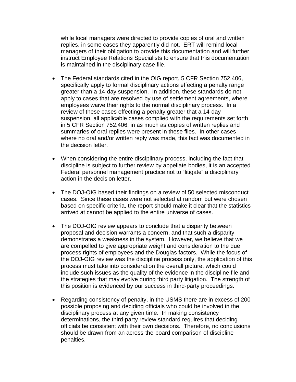while local managers were directed to provide copies of oral and written replies, in some cases they apparently did not. ERT will remind local managers of their obligation to provide this documentation and will further instruct Employee Relations Specialists to ensure that this documentation is maintained in the disciplinary case file.

- The Federal standards cited in the OIG report, 5 CFR Section 752.406, specifically apply to formal disciplinary actions effecting a penalty range greater than a 14-day suspension. In addition, these standards do not apply to cases that are resolved by use of settlement agreements, where employees waive their rights to the normal disciplinary process. In a review of these cases effecting a penalty greater that a 14-day suspension, all applicable cases complied with the requirements set forth in 5 CFR Section 752.406, in as much as copies of written replies and summaries of oral replies were present in these files. In other cases where no oral and/or written reply was made, this fact was documented in the decision letter.
- When considering the entire disciplinary process, including the fact that discipline is subject to further review by appellate bodies, it is an accepted Federal personnel management practice not to "litigate" a disciplinary action in the decision letter.
- The DOJ-OIG based their findings on a review of 50 selected misconduct cases. Since these cases were not selected at random but were chosen based on specific criteria, the report should make it clear that the statistics arrived at cannot be applied to the entire universe of cases.
- The DOJ-OIG review appears to conclude that a disparity between proposal and decision warrants a concern, and that such a disparity demonstrates a weakness in the system. However, we believe that we are compelled to give appropriate weight and consideration to the due process rights of employees and the Douglas factors. While the focus of the DOJ-OIG review was the discipline process only, the application of this process must take into consideration the overall picture, which could include such issues as the quality of the evidence in the discipline file and the strategies that may evolve during third party litigation. The strength of this position is evidenced by our success in third-party proceedings.
- Regarding consistency of penalty, in the USMS there are in excess of 200 possible proposing and deciding officials who could be involved in the disciplinary process at any given time. In making consistency determinations, the third-party review standard requires that deciding officials be consistent with their own decisions. Therefore, no conclusions should be drawn from an across-the-board comparison of discipline penalties.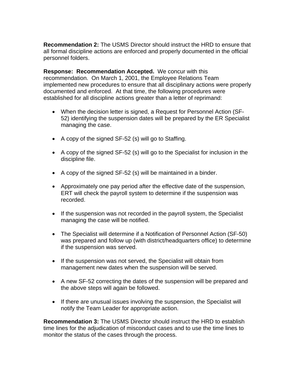**Recommendation 2:** The USMS Director should instruct the HRD to ensure that all formal discipline actions are enforced and properly documented in the official personnel folders.

**Response: Recommendation Accepted.** We concur with this recommendation. On March 1, 2001, the Employee Relations Team implemented new procedures to ensure that all disciplinary actions were properly documented and enforced. At that time, the following procedures were established for all discipline actions greater than a letter of reprimand:

- When the decision letter is signed, a Request for Personnel Action (SF-52) identifying the suspension dates will be prepared by the ER Specialist managing the case.
- A copy of the signed SF-52 (s) will go to Staffing.
- A copy of the signed SF-52 (s) will go to the Specialist for inclusion in the discipline file.
- A copy of the signed SF-52 (s) will be maintained in a binder.
- Approximately one pay period after the effective date of the suspension, ERT will check the payroll system to determine if the suspension was recorded.
- If the suspension was not recorded in the payroll system, the Specialist managing the case will be notified.
- The Specialist will determine if a Notification of Personnel Action (SF-50) was prepared and follow up (with district/headquarters office) to determine if the suspension was served.
- If the suspension was not served, the Specialist will obtain from management new dates when the suspension will be served.
- A new SF-52 correcting the dates of the suspension will be prepared and the above steps will again be followed.
- If there are unusual issues involving the suspension, the Specialist will notify the Team Leader for appropriate action.

**Recommendation 3:** The USMS Director should instruct the HRD to establish time lines for the adjudication of misconduct cases and to use the time lines to monitor the status of the cases through the process.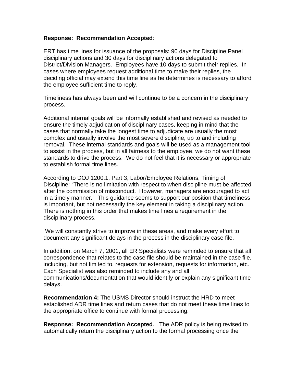#### **Response: Recommendation Accepted**:

ERT has time lines for issuance of the proposals: 90 days for Discipline Panel disciplinary actions and 30 days for disciplinary actions delegated to District/Division Managers. Employees have 10 days to submit their replies. In cases where employees request additional time to make their replies, the deciding official may extend this time line as he determines is necessary to afford the employee sufficient time to reply.

Timeliness has always been and will continue to be a concern in the disciplinary process.

Additional internal goals will be informally established and revised as needed to ensure the timely adjudication of disciplinary cases, keeping in mind that the cases that normally take the longest time to adjudicate are usually the most complex and usually involve the most severe discipline, up to and including removal. These internal standards and goals will be used as a management tool to assist in the process, but in all fairness to the employee, we do not want these standards to drive the process. We do not feel that it is necessary or appropriate to establish formal time lines.

According to DOJ 1200.1, Part 3, Labor/Employee Relations, Timing of Discipline: "There is no limitation with respect to when discipline must be affected after the commission of misconduct. However, managers are encouraged to act in a timely manner." This guidance seems to support our position that timeliness is important, but not necessarily the key element in taking a disciplinary action. There is nothing in this order that makes time lines a requirement in the disciplinary process.

 We will constantly strive to improve in these areas, and make every effort to document any significant delays in the process in the disciplinary case file.

In addition, on March 7, 2001, all ER Specialists were reminded to ensure that all correspondence that relates to the case file should be maintained in the case file, including, but not limited to, requests for extension, requests for information, etc. Each Specialist was also reminded to include any and all communications/documentation that would identify or explain any significant time delays.

**Recommendation 4:** The USMS Director should instruct the HRD to meet established ADR time lines and return cases that do not meet these time lines to the appropriate office to continue with formal processing.

**Response: Recommendation Accepted**. The ADR policy is being revised to automatically return the disciplinary action to the formal processing once the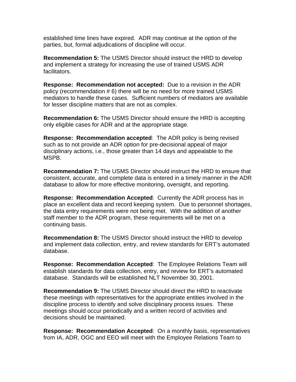established time lines have expired. ADR may continue at the option of the parties, but, formal adjudications of discipline will occur.

**Recommendation 5:** The USMS Director should instruct the HRD to develop and implement a strategy for increasing the use of trained USMS ADR facilitators.

**Response: Recommendation not accepted:** Due to a revision in the ADR policy (recommendation # 6) there will be no need for more trained USMS mediators to handle these cases. Sufficient numbers of mediators are available for lesser discipline matters that are not as complex.

**Recommendation 6:** The USMS Director should ensure the HRD is accepting only eligible cases for ADR and at the appropriate stage.

**Response: Recommendation accepted**: The ADR policy is being revised such as to not provide an ADR option for pre-decisional appeal of major disciplinary actions, i.e., those greater than 14 days and appealable to the MSPB.

**Recommendation 7:** The USMS Director should instruct the HRD to ensure that consistent, accurate, and complete data is entered in a timely manner in the ADR database to allow for more effective monitoring, oversight, and reporting.

**Response: Recommendation Accepted**: Currently the ADR process has in place an excellent data and record keeping system. Due to personnel shortages, the data entry requirements were not being met. With the addition of another staff member to the ADR program, these requirements will be met on a continuing basis.

**Recommendation 8:** The USMS Director should instruct the HRD to develop and implement data collection, entry, and review standards for ERT's automated database.

**Response: Recommendation Accepted**: The Employee Relations Team will establish standards for data collection, entry, and review for ERT's automated database. Standards will be established NLT November 30, 2001.

**Recommendation 9:** The USMS Director should direct the HRD to reactivate these meetings with representatives for the appropriate entities involved in the discipline process to identify and solve disciplinary process issues. These meetings should occur periodically and a written record of activities and decisions should be maintained.

**Response: Recommendation Accepted**: On a monthly basis, representatives from IA, ADR, OGC and EEO will meet with the Employee Relations Team to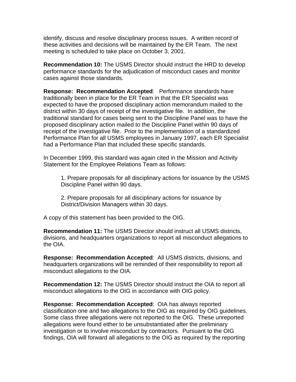identify, discuss and resolve disciplinary process issues. A written record of these activities and decisions will be maintained by the ER Team. The next meeting is scheduled to take place on October 3, 2001.

**Recommendation 10:** The USMS Director should instruct the HRD to develop performance standards for the adjudication of misconduct cases and monitor cases against those standards.

**Response: Recommendation Accepted**: Performance standards have traditionally been in place for the ER Team in that the ER Specialist was expected to have the proposed disciplinary action memorandum mailed to the district within 30 days of receipt of the investigative file. In addition, the traditional standard for cases being sent to the Discipline Panel was to have the proposed disciplinary action mailed to the Discipline Panel within 90 days of receipt of the investigative file. Prior to the implementation of a standardized Performance Plan for all USMS employees in January 1997, each ER Specialist had a Performance Plan that included these specific standards.

In December 1999, this standard was again cited in the Mission and Activity Statement for the Employee Relations Team as follows:

1. Prepare proposals for all disciplinary actions for issuance by the USMS Discipline Panel within 90 days.

2. Prepare proposals for all disciplinary actions for issuance by District/Division Managers within 30 days.

A copy of this statement has been provided to the OIG.

**Recommendation 11:** The USMS Director should instruct all USMS districts, divisions, and headquarters organizations to report all misconduct allegations to the OIA.

**Response: Recommendation Accepted**: All USMS districts, divisions, and headquarters organizations will be reminded of their responsibility to report all misconduct allegations to the OIA.

**Recommendation 12:** The USMS Director should instruct the OIA to report all misconduct allegations to the OIG in accordance with OIG policy.

**Response: Recommendation Accepted**: OIA has always reported classification one and two allegations to the OIG as required by OIG guidelines. Some class three allegations were not reported to the OIG. These unreported allegations were found either to be unsubstantiated after the preliminary investigation or to involve misconduct by contractors. Pursuant to the OIG findings, OIA will forward all allegations to the OIG as required by the reporting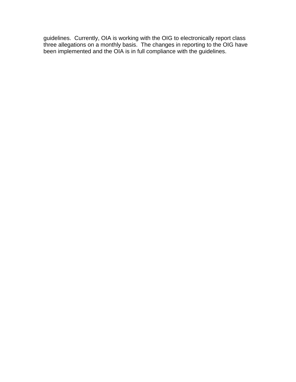guidelines. Currently, OIA is working with the OIG to electronically report class three allegations on a monthly basis. The changes in reporting to the OIG have been implemented and the OIA is in full compliance with the guidelines.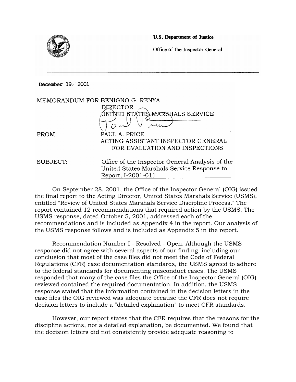**U.S. Department of Justice** 

<span id="page-51-0"></span>

Office of the Inspector General

December 19, 2001

MEMORANDUM FOR BENIGNO G. RENYA **DIRECTOR** UNITED STATES **MARSHALS SERVICE** PAUL A. PRICE FROM: ACTING ASSISTANT INSPECTOR GENERAL FOR EVALUATION AND INSPECTIONS Office of the Inspector General Analysis of the SUBJECT: United States Marshals Service Response to Report, I-2001-011

On September 28, 2001, the Office of the Inspector General (OIG) issued the final report to the Acting Director, United States Marshals Service (USMS), entitled "Review of United States Marshals Service Discipline Process." The report contained 12 recommendations that required action by the USMS. The USMS response, dated October 5, 2001, addressed each of the recommendations and is included as Appendix 4 in the report. Our analysis of the USMS response follows and is included as Appendix 5 in the report.

Recommendation Number I - Resolved - Open. Although the USMS response did not agree with several aspects of our finding, including our conclusion that most of the case files did not meet the Code of Federal Regulations (CFR) case documentation standards, the USMS agreed to adhere to the federal standards for documenting misconduct cases. The USMS responded that many of the case files the Office of the Inspector General (OIG) reviewed contained the required documentation. In addition, the USMS response stated that the information contained in the decision letters in the case files the OIG reviewed was adequate because the CFR does not require decision letters to include a "detailed explanation" to meet CFR standards.

However, our report states that the CFR requires that the reasons for the discipline actions, not a detailed explanation, be documented. We found that the decision letters did not consistently provide adequate reasoning to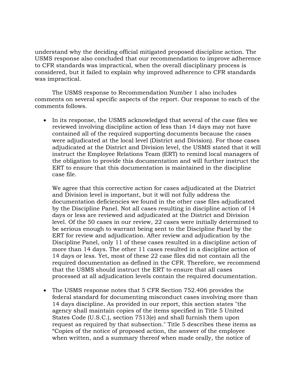understand why the deciding official mitigated proposed discipline action. The USMS response also concluded that our recommendation to improve adherence to CFR standards was impractical, when the overall disciplinary process is considered, but it failed to explain why improved adherence to CFR standards was impractical.

 The USMS response to Recommendation Number 1 also includes comments on several specific aspects of the report. Our response to each of the comments follows.

• In its response, the USMS acknowledged that several of the case files we reviewed involving discipline action of less than 14 days may not have contained all of the required supporting documents because the cases were adjudicated at the local level (District and Division). For those cases adjudicated at the District and Division level, the USMS stated that it will instruct the Employee Relations Team (ERT) to remind local managers of the obligation to provide this documentation and will further instruct the ERT to ensure that this documentation is maintained in the discipline case file.

We agree that this corrective action for cases adjudicated at the District and Division level is important, but it will not fully address the documentation deficiencies we found in the other case files adjudicated by the Discipline Panel. Not all cases resulting in discipline action of 14 days or less are reviewed and adjudicated at the District and Division level. Of the 50 cases in our review, 22 cases were initially determined to be serious enough to warrant being sent to the Discipline Panel by the ERT for review and adjudication. After review and adjudication by the Discipline Panel, only 11 of these cases resulted in a discipline action of more than 14 days. The other 11 cases resulted in a discipline action of 14 days or less. Yet, most of these 22 case files did not contain all the required documentation as defined in the CFR. Therefore, we recommend that the USMS should instruct the ERT to ensure that all cases processed at all adjudication levels contain the required documentation.

• The USMS response notes that 5 CFR Section 752.406 provides the federal standard for documenting misconduct cases involving more than 14 days discipline. As provided in our report, this section states "the agency shall maintain copies of the items specified in Title 5 United States Code (U.S.C.), section 7513(e) and shall furnish them upon request as required by that subsection." Title 5 describes these items as "Copies of the notice of proposed action, the answer of the employee when written, and a summary thereof when made orally, the notice of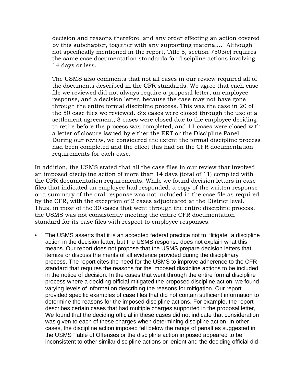decision and reasons therefore, and any order effecting an action covered by this subchapter, together with any supporting material..." Although not specifically mentioned in the report, Title 5, section 7503(c) requires the same case documentation standards for discipline actions involving 14 days or less.

 The USMS also comments that not all cases in our review required all of the documents described in the CFR standards. We agree that each case file we reviewed did not always require a proposal letter, an employee response, and a decision letter, because the case may not have gone through the entire formal discipline process. This was the case in 20 of the 50 case files we reviewed. Six cases were closed through the use of a settlement agreement, 3 cases were closed due to the employee deciding to retire before the process was completed, and 11 cases were closed with a letter of closure issued by either the ERT or the Discipline Panel. During our review, we considered the extent the formal discipline process had been completed and the effect this had on the CFR documentation requirements for each case.

In addition, the USMS stated that all the case files in our review that involved an imposed discipline action of more than 14 days (total of 11) complied with the CFR documentation requirements. While we found decision letters in case files that indicated an employee had responded, a copy of the written response or a summary of the oral response was not included in the case file as required by the CFR, with the exception of 2 cases adjudicated at the District level. Thus, in most of the 30 cases that went through the entire discipline process, the USMS was not consistently meeting the entire CFR documentation standard for its case files with respect to employee responses.

• The USMS asserts that it is an accepted federal practice not to "litigate" a discipline action in the decision letter, but the USMS response does not explain what this means. Our report does not propose that the USMS prepare decision letters that itemize or discuss the merits of all evidence provided during the disciplinary process. The report cites the need for the USMS to improve adherence to the CFR standard that requires the reasons for the imposed discipline actions to be included in the notice of decision. In the cases that went through the entire formal discipline process where a deciding official mitigated the proposed discipline action, we found varying levels of information describing the reasons for mitigation. Our report provided specific examples of case files that did not contain sufficient information to determine the reasons for the imposed discipline actions. For example, the report describes certain cases that had multiple charges supported in the proposal letter, We found that the deciding official in these cases did not indicate that consideration was given to each of these charges when determining discipline action. In other cases, the discipline action imposed fell below the range of penalties suggested in the USMS Table of Offenses or the discipline action imposed appeared to be inconsistent to other similar discipline actions or lenient and the deciding official did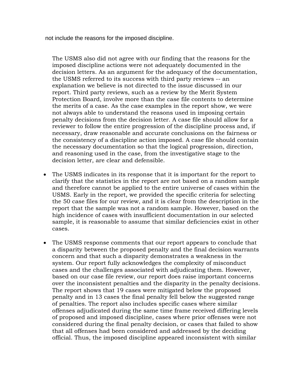not include the reasons for the imposed discipline.

The USMS also did not agree with our finding that the reasons for the imposed discipline actions were not adequately documented in the decision letters. As an argument for the adequacy of the documentation, the USMS referred to its success with third party reviews -- an explanation we believe is not directed to the issue discussed in our report. Third party reviews, such as a review by the Merit System Protection Board, involve more than the case file contents to determine the merits of a case. As the case examples in the report show, we were not always able to understand the reasons used in imposing certain penalty decisions from the decision letter. A case file should allow for a reviewer to follow the entire progression of the discipline process and, if necessary, draw reasonable and accurate conclusions on the fairness or the consistency of a discipline action imposed. A case file should contain the necessary documentation so that the logical progression, direction, and reasoning used in the case, from the investigative stage to the decision letter, are clear and defensible.

- The USMS indicates in its response that it is important for the report to clarify that the statistics in the report are not based on a random sample and therefore cannot be applied to the entire universe of cases within the USMS. Early in the report, we provided the specific criteria for selecting the 50 case files for our review, and it is clear from the description in the report that the sample was not a random sample. However, based on the high incidence of cases with insufficient documentation in our selected sample, it is reasonable to assume that similar deficiencies exist in other cases.
- The USMS response comments that our report appears to conclude that a disparity between the proposed penalty and the final decision warrants concern and that such a disparity demonstrates a weakness in the system. Our report fully acknowledges the complexity of misconduct cases and the challenges associated with adjudicating them. However, based on our case file review, our report does raise important concerns over the inconsistent penalties and the disparity in the penalty decisions. The report shows that 19 cases were mitigated below the proposed penalty and in 13 cases the final penalty fell below the suggested range of penalties. The report also includes specific cases where similar offenses adjudicated during the same time frame received differing levels of proposed and imposed discipline, cases where prior offenses were not considered during the final penalty decision, or cases that failed to show that all offenses had been considered and addressed by the deciding official. Thus, the imposed discipline appeared inconsistent with similar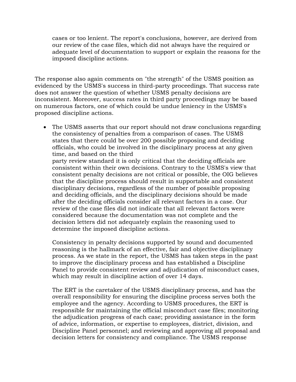cases or too lenient. The report's conclusions, however, are derived from our review of the case files, which did not always have the required or adequate level of documentation to support or explain the reasons for the imposed discipline actions.

The response also again comments on "the strength" of the USMS position as evidenced by the USMS's success in third-party proceedings. That success rate does not answer the question of whether USMS penalty decisions are inconsistent. Moreover, success rates in third party proceedings may be based on numerous factors, one of which could be undue leniency in the USMS's proposed discipline actions.

• The USMS asserts that our report should not draw conclusions regarding the consistency of penalties from a comparison of cases. The USMS states that there could be over 200 possible proposing and deciding officials, who could be involved in the disciplinary process at any given time, and based on the third party review standard it is only critical that the deciding officials are consistent within their own decisions. Contrary to the USMS's view that consistent penalty decisions are not critical or possible, the OIG believes that the discipline process should result in supportable and consistent disciplinary decisions, regardless of the number of possible proposing and deciding officials, and the disciplinary decisions should be made after the deciding officials consider all relevant factors in a case. Our review of the case files did not indicate that all relevant factors were considered because the documentation was not complete and the decision letters did not adequately explain the reasoning used to determine the imposed discipline actions.

Consistency in penalty decisions supported by sound and documented reasoning is the hallmark of an effective, fair and objective disciplinary process. As we state in the report, the USMS has taken steps in the past to improve the disciplinary process and has established a Discipline Panel to provide consistent review and adjudication of misconduct cases, which may result in discipline action of over 14 days.

The ERT is the caretaker of the USMS disciplinary process, and has the overall responsibility for ensuring the discipline process serves both the employee and the agency. According to USMS procedures, the ERT is responsible for maintaining the official misconduct case files; monitoring the adjudication progress of each case; providing assistance in the form of advice, information, or expertise to employees, district, division, and Discipline Panel personnel; and reviewing and approving all proposal and decision letters for consistency and compliance. The USMS response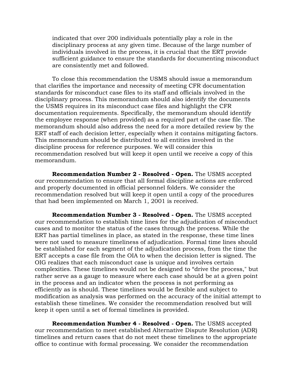indicated that over 200 individuals potentially play a role in the disciplinary process at any given time. Because of the large number of individuals involved in the process, it is crucial that the ERT provide sufficient guidance to ensure the standards for documenting misconduct are consistently met and followed.

 To close this recommendation the USMS should issue a memorandum that clarifies the importance and necessity of meeting CFR documentation standards for misconduct case files to its staff and officials involved in the disciplinary process. This memorandum should also identify the documents the USMS requires in its misconduct case files and highlight the CFR documentation requirements. Specifically, the memorandum should identify the employee response (when provided) as a required part of the case file. The memorandum should also address the need for a more detailed review by the ERT staff of each decision letter, especially when it contains mitigating factors. This memorandum should be distributed to all entities involved in the discipline process for reference purposes. We will consider this recommendation resolved but will keep it open until we receive a copy of this memorandum.

**Recommendation Number 2 - Resolved - Open.** The USMS accepted our recommendation to ensure that all formal discipline actions are enforced and properly documented in official personnel folders. We consider the recommendation resolved but will keep it open until a copy of the procedures that had been implemented on March 1, 2001 is received.

 **Recommendation Number 3 - Resolved - Open.** The USMS accepted our recommendation to establish time lines for the adjudication of misconduct cases and to monitor the status of the cases through the process. While the ERT has partial timelines in place, as stated in the response, these time lines were not used to measure timeliness of adjudication. Formal time lines should be established for each segment of the adjudication process, from the time the ERT accepts a case file from the OIA to when the decision letter is signed. The OIG realizes that each misconduct case is unique and involves certain complexities. These timelines would not be designed to "drive the process," but rather serve as a gauge to measure where each case should be at a given point in the process and an indicator when the process is not performing as efficiently as is should. These timelines would be flexible and subject to modification as analysis was performed on the accuracy of the initial attempt to establish these timelines. We consider the recommendation resolved but will keep it open until a set of formal timelines is provided.

**Recommendation Number 4 - Resolved - Open.** The USMS accepted our recommendation to meet established Alternative Dispute Resolution (ADR) timelines and return cases that do not meet these timelines to the appropriate office to continue with formal processing. We consider the recommendation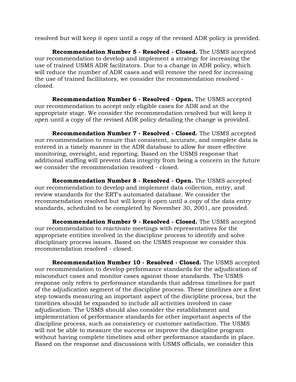resolved but will keep it open until a copy of the revised ADR policy is provided.

**Recommendation Number 5 - Resolved - Closed.** The USMS accepted our recommendation to develop and implement a strategy for increasing the use of trained USMS ADR facilitators. Due to a change in ADR policy, which will reduce the number of ADR cases and will remove the need for increasing the use of trained facilitators, we consider the recommendation resolved closed.

**Recommendation Number 6 - Resolved - Open.** The USMS accepted our recommendation to accept only eligible cases for ADR and at the appropriate stage. We consider the recommendation resolved but will keep it open until a copy of the revised ADR policy detailing the change is provided.

**Recommendation Number 7 - Resolved - Closed.** The USMS accepted our recommendation to ensure that consistent, accurate, and complete data is entered in a timely manner in the ADR database to allow for more effective monitoring, oversight, and reporting. Based on the USMS response that additional staffing will prevent data integrity from being a concern in the future we consider the recommendation resolved - closed.

**Recommendation Number 8 - Resolved - Open.** The USMS accepted our recommendation to develop and implement data collection, entry, and review standards for the ERT's automated database. We consider the recommendation resolved but will keep it open until a copy of the data entry standards, scheduled to be completed by November 30, 2001, are provided.

**Recommendation Number 9 - Resolved - Closed.** The USMS accepted our recommendation to reactivate meetings with representatives for the appropriate entities involved in the discipline process to identify and solve disciplinary process issues. Based on the USMS response we consider this recommendation resolved - closed.

**Recommendation Number 10 - Resolved - Closed.** The USMS accepted our recommendation to develop performance standards for the adjudication of misconduct cases and monitor cases against those standards. The USMS response only refers to performance standards that address timelines for part of the adjudication segment of the discipline process. These timelines are a first step towards measuring an important aspect of the discipline process, but the timelines should be expanded to include all activities involved in case adjudication. The USMS should also consider the establishment and implementation of performance standards for other important aspects of the discipline process, such as consistency or customer satisfaction. The USMS will not be able to measure the success or improve the discipline program without having complete timelines and other performance standards in place. Based on the response and discussions with USMS officials, we consider this